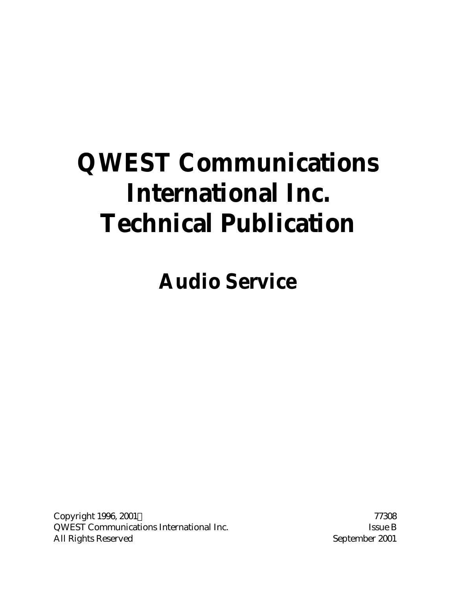# **QWEST Communications International Inc. Technical Publication**

**Audio Service**

Copyright 1996, 2001 © 77308 QWEST Communications International Inc. Some B Issue B All Rights Reserved and September 2001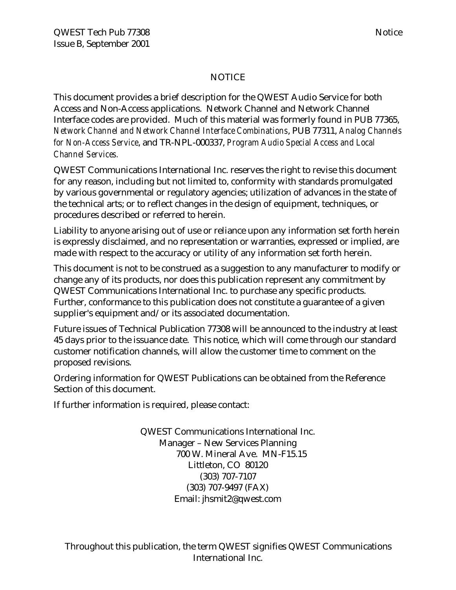#### NOTICE

This document provides a brief description for the QWEST Audio Service for both Access and Non-Access applications. Network Channel and Network Channel Interface codes are provided. Much of this material was formerly found in PUB 77365, *Network Channel and Network Channel Interface Combinations*, PUB 77311, *Analog Channels for Non-Access Service*, and TR-NPL-000337, *Program Audio Special Access and Local Channel Services.*

QWEST Communications International Inc. reserves the right to revise this document for any reason, including but not limited to, conformity with standards promulgated by various governmental or regulatory agencies; utilization of advances in the state of the technical arts; or to reflect changes in the design of equipment, techniques, or procedures described or referred to herein.

Liability to anyone arising out of use or reliance upon any information set forth herein is expressly disclaimed, and no representation or warranties, expressed or implied, are made with respect to the accuracy or utility of any information set forth herein.

This document is not to be construed as a suggestion to any manufacturer to modify or change any of its products, nor does this publication represent any commitment by QWEST Communications International Inc. to purchase any specific products. Further, conformance to this publication does not constitute a guarantee of a given supplier's equipment and/or its associated documentation.

Future issues of Technical Publication 77308 will be announced to the industry at least 45 days prior to the issuance date. This notice, which will come through our standard customer notification channels, will allow the customer time to comment on the proposed revisions.

Ordering information for QWEST Publications can be obtained from the Reference Section of this document.

If further information is required, please contact:

QWEST Communications International Inc. Manager – New Services Planning 700 W. Mineral Ave. MN-F15.15 Littleton, CO 80120 (303) 707-7107 (303) 707-9497 (FAX) Email: jhsmit2@qwest.com

Throughout this publication, the term QWEST signifies QWEST Communications International Inc.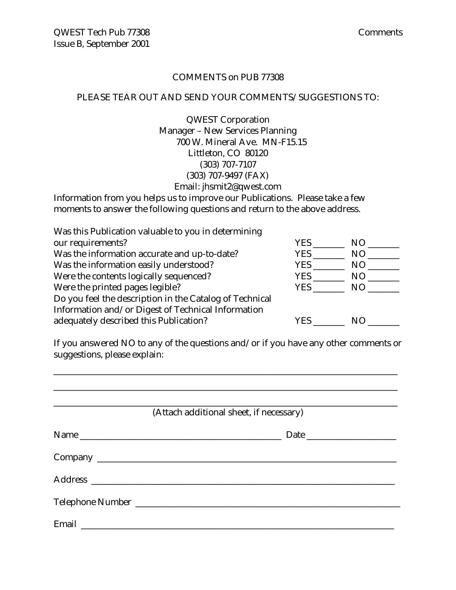#### COMMENTS on PUB 77308

#### PLEASE TEAR OUT AND SEND YOUR COMMENTS/SUGGESTIONS TO:

QWEST Corporation Manager – New Services Planning 700 W. Mineral Ave. MN-F15.15 Littleton, CO 80120 (303) 707-7107 (303) 707-9497 (FAX) Email: jhsmit2@qwest.com

Information from you helps us to improve our Publications. Please take a few moments to answer the following questions and return to the above address.

| Was this Publication valuable to you in determining     |            |                |  |  |
|---------------------------------------------------------|------------|----------------|--|--|
| our requirements?                                       | YES        | NO.            |  |  |
| Was the information accurate and up-to-date?            | <b>YES</b> | N <sub>O</sub> |  |  |
| Was the information easily understood?                  | YES        | N <sub>O</sub> |  |  |
| Were the contents logically sequenced?                  | <b>YES</b> | NO             |  |  |
| Were the printed pages legible?                         | <b>YES</b> | NO.            |  |  |
| Do you feel the description in the Catalog of Technical |            |                |  |  |
| Information and/or Digest of Technical Information      |            |                |  |  |
| adequately described this Publication?                  | YES        | N()            |  |  |

If you answered NO to any of the questions and/or if you have any other comments or suggestions, please explain:

| (Attach additional sheet, if necessary) |
|-----------------------------------------|
|                                         |
|                                         |
|                                         |
|                                         |
|                                         |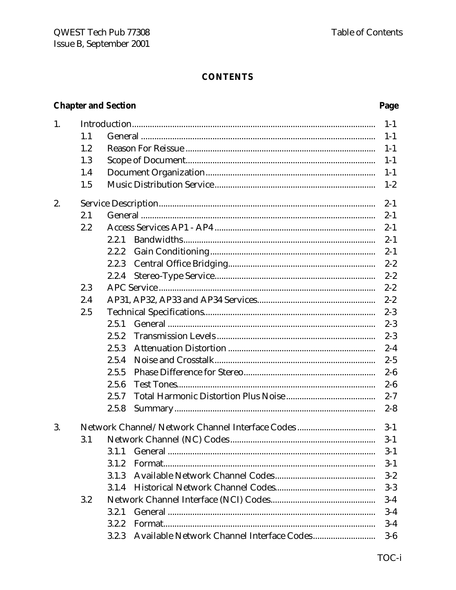#### **CONTENTS**

# **Chapter and Section**

| 1. |     |       | $1 - 1$ |
|----|-----|-------|---------|
|    | 1.1 |       | $1 - 1$ |
|    | 1.2 |       | $1 - 1$ |
|    | 1.3 |       | $1 - 1$ |
|    | 1.4 |       | $1 - 1$ |
|    | 1.5 |       | $1-2$   |
| 2. |     |       | $2 - 1$ |
|    | 2.1 |       | $2 - 1$ |
|    | 2.2 |       | $2 - 1$ |
|    |     | 2.2.1 | $2 - 1$ |
|    |     | 2.2.2 | $2 - 1$ |
|    |     | 2.2.3 | $2 - 2$ |
|    |     | 2.2.4 | $2 - 2$ |
|    | 2.3 |       | $2 - 2$ |
|    | 2.4 |       | $2 - 2$ |
|    | 2.5 |       | $2 - 3$ |
|    |     | 2.5.1 | $2 - 3$ |
|    |     | 2.5.2 | $2 - 3$ |
|    |     | 2.5.3 | $2 - 4$ |
|    |     | 2.5.4 | $2 - 5$ |
|    |     | 2.5.5 | $2-6$   |
|    |     | 2.5.6 | $2-6$   |
|    |     | 2.5.7 | $2 - 7$ |
|    |     | 2.5.8 | $2 - 8$ |
| 3. |     |       | $3 - 1$ |
|    | 3.1 |       | $3-1$   |
|    |     |       | $3-1$   |
|    |     | 3.1.2 | $3-1$   |
|    |     | 3.1.3 | $3 - 2$ |
|    |     | 3.1.4 | $3-3$   |
|    | 3.2 |       | $3-4$   |
|    |     | 3.2.1 | $3-4$   |
|    |     | 3.2.2 | $3-4$   |
|    |     | 3.2.3 | $3-6$   |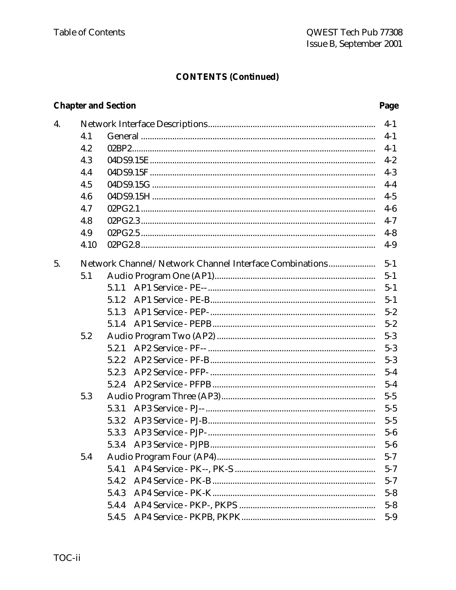Page

# **CONTENTS (Continued)**

# **Chapter and Section**

| 4. |      |                                                        | $4-1$   |
|----|------|--------------------------------------------------------|---------|
|    | 4.1  |                                                        | $4-1$   |
|    | 4.2  |                                                        | $4-1$   |
|    | 4.3  |                                                        | $4 - 2$ |
|    | 4.4  |                                                        | $4 - 3$ |
|    | 4.5  |                                                        | $4-4$   |
|    | 4.6  |                                                        | $4 - 5$ |
|    | 4.7  |                                                        | $4-6$   |
|    | 4.8  |                                                        | $4 - 7$ |
|    | 4.9  |                                                        | $4 - 8$ |
|    | 4.10 |                                                        | $4-9$   |
| 5. |      | Network Channel/Network Channel Interface Combinations | $5 - 1$ |
|    | 5.1  |                                                        | $5 - 1$ |
|    |      | 5.1.1                                                  | $5 - 1$ |
|    |      | 5.1.2                                                  | $5-1$   |
|    |      | 5.1.3                                                  | $5 - 2$ |
|    |      | 5.1.4                                                  | $5 - 2$ |
|    | 5.2  |                                                        | $5 - 3$ |
|    |      | 5.2.1                                                  | $5 - 3$ |
|    |      | 5.2.2                                                  | $5 - 3$ |
|    |      | 5.2.3                                                  | $5 - 4$ |
|    |      | 5.2.4                                                  | $5 - 4$ |
|    | 5.3  |                                                        | $5 - 5$ |
|    |      | 5.3.1                                                  | $5 - 5$ |
|    |      | 5.3.2                                                  | $5 - 5$ |
|    |      | 5.3.3                                                  | $5-6$   |
|    |      |                                                        | $5-6$   |
|    | 5.4  |                                                        | $5 - 7$ |
|    |      | 5.4.1                                                  | $5 - 7$ |
|    |      | 5.4.2                                                  | $5 - 7$ |
|    |      | 5.4.3                                                  | $5 - 8$ |
|    |      | 5.4.4                                                  | $5 - 8$ |
|    |      | 5.4.5                                                  | $5-9$   |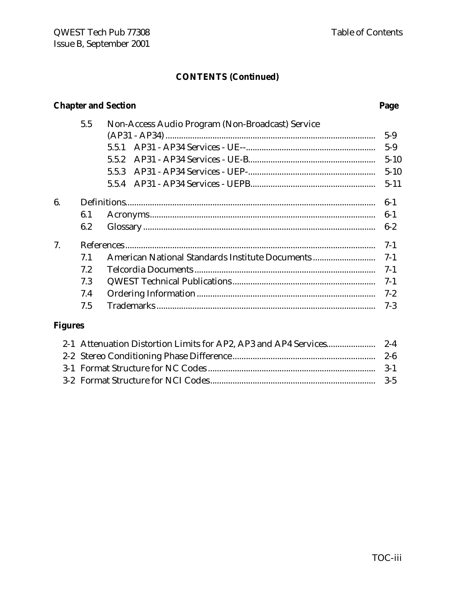# **CONTENTS (Continued)**

# **Chapter and Section**

|                | 5.5 | Non-Access Audio Program (Non-Broadcast) Service |          |
|----------------|-----|--------------------------------------------------|----------|
|                |     |                                                  | $5-9$    |
|                |     | 5.5.1                                            | $5-9$    |
|                |     | 5.5.2                                            | $5 - 10$ |
|                |     | 5.5.3                                            | $5 - 10$ |
|                |     |                                                  | $5 - 11$ |
| 6.             |     |                                                  | $6-1$    |
|                | 6.1 |                                                  | $6-1$    |
|                | 6.2 |                                                  | $6 - 2$  |
| 7.             |     |                                                  | $7 - 1$  |
|                | 7.1 | American National Standards Institute Documents  | $7-1$    |
|                | 7.2 |                                                  | $7-1$    |
|                | 7.3 |                                                  | $7-1$    |
|                | 7.4 |                                                  | $7 - 2$  |
|                | 7.5 |                                                  | $7-3$    |
| <b>Figures</b> |     |                                                  |          |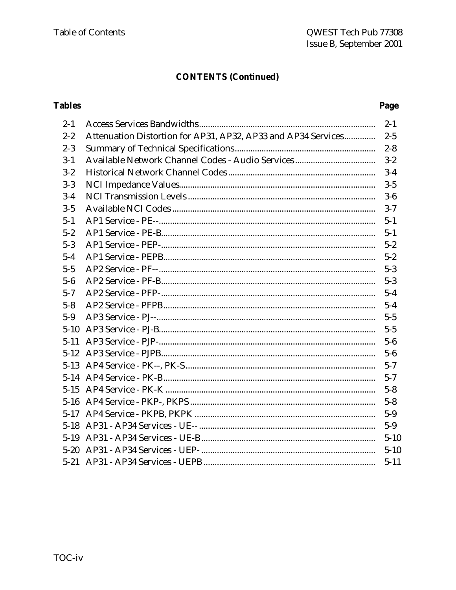# **CONTENTS (Continued)**

# **Tables**

| $2 - 1$  |                                                                   |          |
|----------|-------------------------------------------------------------------|----------|
| $2 - 2$  | Attenuation Distortion for AP31, AP32, AP33 and AP34 Services 2-5 |          |
| $2 - 3$  |                                                                   |          |
| $3 - 1$  |                                                                   |          |
| $3 - 2$  |                                                                   |          |
| $3 - 3$  |                                                                   |          |
| $3 - 4$  |                                                                   |          |
| $3 - 5$  |                                                                   |          |
| $5 - 1$  |                                                                   |          |
| $5 - 2$  |                                                                   |          |
| $5 - 3$  |                                                                   |          |
| $5 - 4$  |                                                                   |          |
| $5-5$    |                                                                   |          |
| $5-6$    |                                                                   |          |
| $5 - 7$  |                                                                   |          |
| $5 - 8$  |                                                                   |          |
| $5-9$    |                                                                   |          |
| $5-10$   |                                                                   |          |
| $5 - 11$ |                                                                   |          |
| $5 - 12$ |                                                                   |          |
|          |                                                                   |          |
|          |                                                                   |          |
|          |                                                                   |          |
|          |                                                                   |          |
|          |                                                                   |          |
|          |                                                                   |          |
|          |                                                                   | $5 - 10$ |
|          |                                                                   |          |
|          |                                                                   | $5 - 11$ |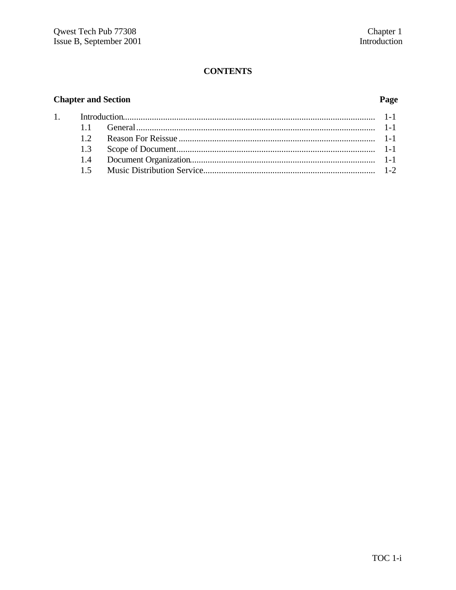## **CONTENTS**

#### **Chapter and Section**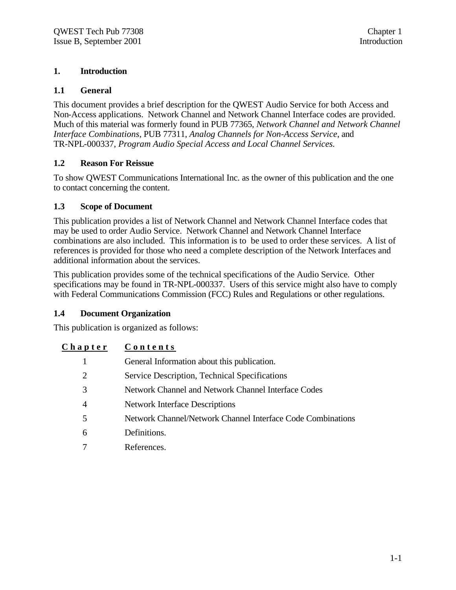#### **1. Introduction**

#### **1.1 General**

This document provides a brief description for the QWEST Audio Service for both Access and Non-Access applications. Network Channel and Network Channel Interface codes are provided. Much of this material was formerly found in PUB 77365, *Network Channel and Network Channel Interface Combinations*, PUB 77311, *Analog Channels for Non-Access Service*, and TR-NPL-000337, *Program Audio Special Access and Local Channel Services.*

#### **1.2 Reason For Reissue**

To show QWEST Communications International Inc. as the owner of this publication and the one to contact concerning the content.

#### **1.3 Scope of Document**

This publication provides a list of Network Channel and Network Channel Interface codes that may be used to order Audio Service. Network Channel and Network Channel Interface combinations are also included. This information is to be used to order these services. A list of references is provided for those who need a complete description of the Network Interfaces and additional information about the services.

This publication provides some of the technical specifications of the Audio Service. Other specifications may be found in TR-NPL-000337. Users of this service might also have to comply with Federal Communications Commission (FCC) Rules and Regulations or other regulations.

#### **1.4 Document Organization**

This publication is organized as follows:

#### **Chapter Contents**

|   | General Information about this publication.                 |
|---|-------------------------------------------------------------|
|   | Service Description, Technical Specifications               |
|   | Network Channel and Network Channel Interface Codes         |
|   | <b>Network Interface Descriptions</b>                       |
|   | Network Channel/Network Channel Interface Code Combinations |
| 6 | Definitions.                                                |
|   | References.                                                 |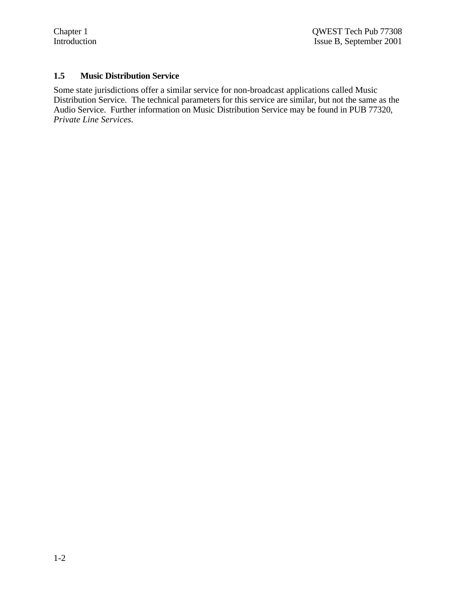#### **1.5 Music Distribution Service**

Some state jurisdictions offer a similar service for non-broadcast applications called Music Distribution Service. The technical parameters for this service are similar, but not the same as the Audio Service. Further information on Music Distribution Service may be found in PUB 77320, *Private Line Services.*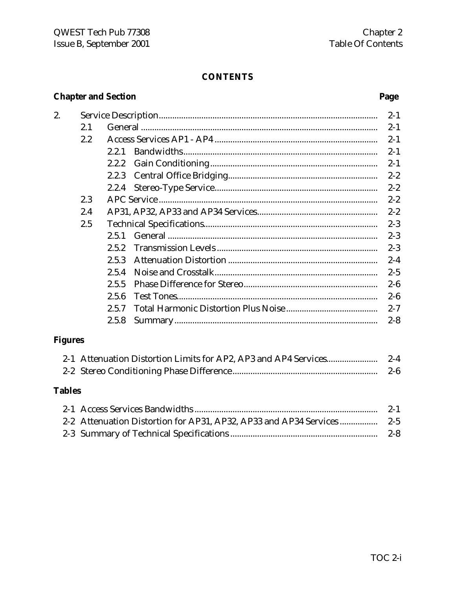# **CONTENTS**

# **Chapter and Section**

2.

# Page

| 2.1 |       |  |
|-----|-------|--|
| 2.2 |       |  |
|     | 2.2.1 |  |
|     | 2.2.2 |  |
|     | 2.2.3 |  |
|     | 2.2.4 |  |
| 2.3 |       |  |
| 2.4 |       |  |
| 2.5 |       |  |
|     | 2.5.1 |  |
|     | 2.5.2 |  |
|     | 2.5.3 |  |
|     | 2.5.4 |  |
|     | 2.5.5 |  |
|     | 2.5.6 |  |
|     | 2.5.7 |  |
|     | 2.5.8 |  |

# **Figures**

|  | $2 - 6$ |
|--|---------|

# **Tables**

|  | $2-1$ |
|--|-------|
|  |       |
|  |       |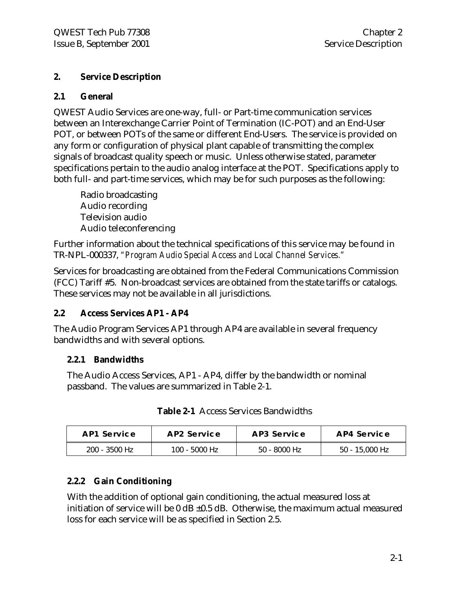#### **2. Service Description**

#### **2.1 General**

QWEST Audio Services are one-way, full- or Part-time communication services between an Interexchange Carrier Point of Termination (IC-POT) and an End-User POT, or between POTs of the same or different End-Users. The service is provided on any form or configuration of physical plant capable of transmitting the complex signals of broadcast quality speech or music. Unless otherwise stated, parameter specifications pertain to the audio analog interface at the POT. Specifications apply to both full- and part-time services, which may be for such purposes as the following:

Radio broadcasting Audio recording Television audio Audio teleconferencing

Further information about the technical specifications of this service may be found in TR-NPL-000337, *"Program Audio Special Access and Local Channel Services."*

Services for broadcasting are obtained from the Federal Communications Commission (FCC) Tariff #5. Non-broadcast services are obtained from the state tariffs or catalogs. These services may not be available in all jurisdictions.

#### **2.2 Access Services AP1 - AP4**

The Audio Program Services AP1 through AP4 are available in several frequency bandwidths and with several options.

#### **2.2.1 Bandwidths**

The Audio Access Services, AP1 - AP4, differ by the bandwidth or nominal passband. The values are summarized in Table 2-1.

| AP1 Service     | AP2 Service   | AP3 Service    | AP4 Service    |
|-----------------|---------------|----------------|----------------|
| $200 - 3500$ Hz | 100 - 5000 Hz | $50 - 8000$ Hz | 50 - 15,000 Hz |

|  |  |  | <b>Table 2-1</b> Access Services Bandwidths |
|--|--|--|---------------------------------------------|
|--|--|--|---------------------------------------------|

#### **2.2.2 Gain Conditioning**

With the addition of optional gain conditioning, the actual measured loss at initiation of service will be  $0$  dB  $\pm 0.5$  dB. Otherwise, the maximum actual measured loss for each service will be as specified in Section 2.5.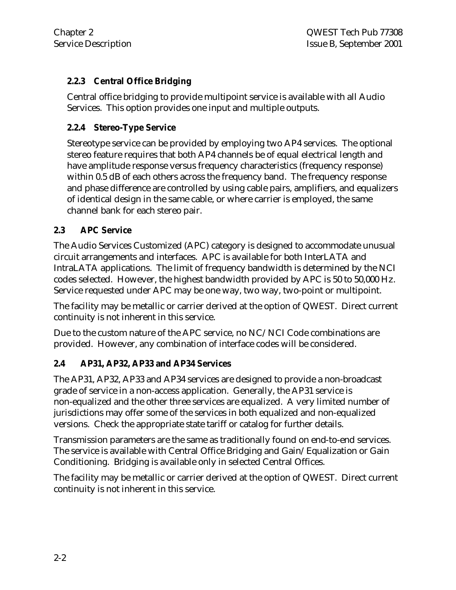# **2.2.3 Central Office Bridging**

Central office bridging to provide multipoint service is available with all Audio Services. This option provides one input and multiple outputs.

### **2.2.4 Stereo-Type Service**

Stereotype service can be provided by employing two AP4 services. The optional stereo feature requires that both AP4 channels be of equal electrical length and have amplitude response versus frequency characteristics (frequency response) within 0.5 dB of each others across the frequency band. The frequency response and phase difference are controlled by using cable pairs, amplifiers, and equalizers of identical design in the same cable, or where carrier is employed, the same channel bank for each stereo pair.

#### **2.3 APC Service**

The Audio Services Customized (APC) category is designed to accommodate unusual circuit arrangements and interfaces. APC is available for both InterLATA and IntraLATA applications. The limit of frequency bandwidth is determined by the NCI codes selected. However, the highest bandwidth provided by APC is 50 to 50,000 Hz. Service requested under APC may be one way, two way, two-point or multipoint.

The facility may be metallic or carrier derived at the option of QWEST. Direct current continuity is not inherent in this service.

Due to the custom nature of the APC service, no NC/NCI Code combinations are provided. However, any combination of interface codes will be considered.

# **2.4 AP31, AP32, AP33 and AP34 Services**

The AP31, AP32, AP33 and AP34 services are designed to provide a non-broadcast grade of service in a non-access application. Generally, the AP31 service is non-equalized and the other three services are equalized. A very limited number of jurisdictions may offer some of the services in both equalized and non-equalized versions. Check the appropriate state tariff or catalog for further details.

Transmission parameters are the same as traditionally found on end-to-end services. The service is available with Central Office Bridging and Gain/Equalization or Gain Conditioning. Bridging is available only in selected Central Offices.

The facility may be metallic or carrier derived at the option of QWEST. Direct current continuity is not inherent in this service.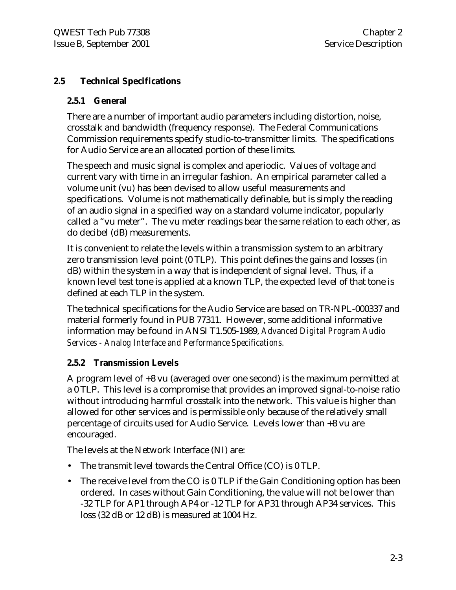#### **2.5 Technical Specifications**

#### **2.5.1 General**

There are a number of important audio parameters including distortion, noise, crosstalk and bandwidth (frequency response). The Federal Communications Commission requirements specify studio-to-transmitter limits. The specifications for Audio Service are an allocated portion of these limits.

The speech and music signal is complex and aperiodic. Values of voltage and current vary with time in an irregular fashion. An empirical parameter called a volume unit (vu) has been devised to allow useful measurements and specifications. Volume is not mathematically definable, but is simply the reading of an audio signal in a specified way on a standard volume indicator, popularly called a "vu meter". The vu meter readings bear the same relation to each other, as do decibel (dB) measurements.

It is convenient to relate the levels within a transmission system to an arbitrary zero transmission level point (0 TLP). This point defines the gains and losses (in dB) within the system in a way that is independent of signal level. Thus, if a known level test tone is applied at a known TLP, the expected level of that tone is defined at each TLP in the system.

The technical specifications for the Audio Service are based on TR-NPL-000337 and material formerly found in PUB 77311. However, some additional informative information may be found in ANSI T1.505-1989, *Advanced Digital Program Audio Services - Analog Interface and Performance Specifications.*

#### **2.5.2 Transmission Levels**

A program level of +8 vu (averaged over one second) is the maximum permitted at a 0 TLP. This level is a compromise that provides an improved signal-to-noise ratio without introducing harmful crosstalk into the network. This value is higher than allowed for other services and is permissible only because of the relatively small percentage of circuits used for Audio Service. Levels lower than +8 vu are encouraged.

The levels at the Network Interface (NI) are:

- The transmit level towards the Central Office (CO) is 0 TLP.
- The receive level from the CO is 0 TLP if the Gain Conditioning option has been ordered. In cases without Gain Conditioning, the value will not be lower than -32 TLP for AP1 through AP4 or -12 TLP for AP31 through AP34 services. This loss (32 dB or 12 dB) is measured at 1004 Hz.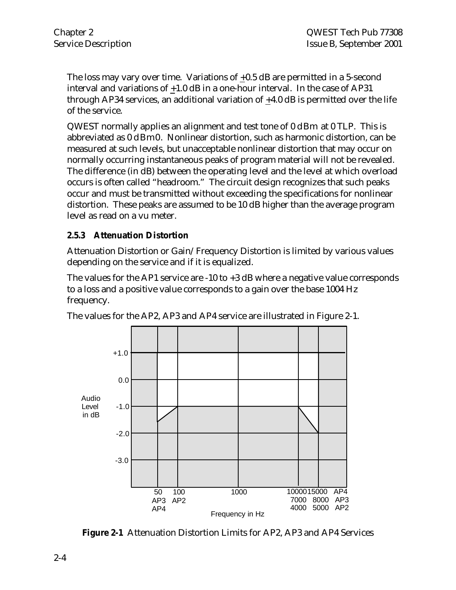The loss may vary over time. Variations of +0.5 dB are permitted in a 5-second interval and variations of +1.0 dB in a one-hour interval. In the case of AP31 through AP34 services, an additional variation of +4.0 dB is permitted over the life of the service.

QWEST normally applies an alignment and test tone of 0 dBm at 0 TLP. This is abbreviated as 0 dBm0. Nonlinear distortion, such as harmonic distortion, can be measured at such levels, but unacceptable nonlinear distortion that may occur on normally occurring instantaneous peaks of program material will not be revealed. The difference (in dB) between the operating level and the level at which overload occurs is often called "headroom." The circuit design recognizes that such peaks occur and must be transmitted without exceeding the specifications for nonlinear distortion. These peaks are assumed to be 10 dB higher than the average program level as read on a vu meter.

#### **2.5.3 Attenuation Distortion**

Attenuation Distortion or Gain/Frequency Distortion is limited by various values depending on the service and if it is equalized.

The values for the AP1 service are -10 to +3 dB where a negative value corresponds to a loss and a positive value corresponds to a gain over the base 1004 Hz frequency.





**Figure 2-1** Attenuation Distortion Limits for AP2, AP3 and AP4 Services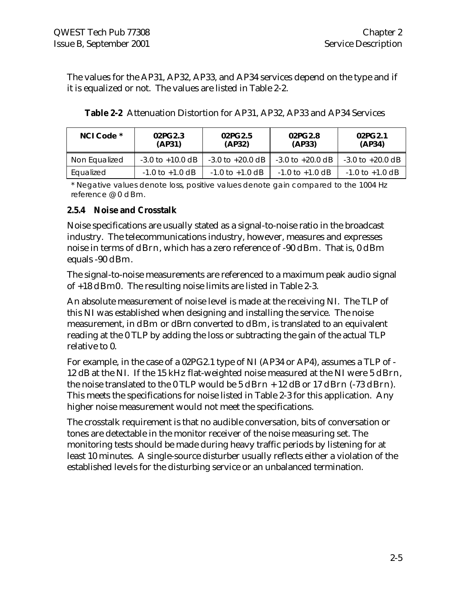The values for the AP31, AP32, AP33, and AP34 services depend on the type and if it is equalized or not. The values are listed in Table 2-2.

| NCI Code *    | 02PG2.3<br>(AP31)    | 02PG2.5<br>(AP32)    | 02PG2.8<br>(AP33)    | 02PG2.1<br>(AP34)    |
|---------------|----------------------|----------------------|----------------------|----------------------|
| Non Equalized | $-3.0$ to $+10.0$ dB | $-3.0$ to $+20.0$ dB | $-3.0$ to $+20.0$ dB | $-3.0$ to $+20.0$ dB |
| Equalized     | $-1.0$ to $+1.0$ dB  | $-1.0$ to $+1.0$ dB  | $-1.0$ to $+1.0$ dB  | $-1.0$ to $+1.0$ dB  |

| <b>Table 2-2</b> Attenuation Distortion for AP31, AP32, AP33 and AP34 Services |  |  |  |  |  |  |  |  |  |
|--------------------------------------------------------------------------------|--|--|--|--|--|--|--|--|--|
|--------------------------------------------------------------------------------|--|--|--|--|--|--|--|--|--|

\* Negative values denote loss, positive values denote gain compared to the 1004 Hz reference @ 0 dBm.

#### **2.5.4 Noise and Crosstalk**

Noise specifications are usually stated as a signal-to-noise ratio in the broadcast industry. The telecommunications industry, however, measures and expresses noise in terms of dBrn, which has a zero reference of -90 dBm. That is, 0 dBm equals -90 dBm.

The signal-to-noise measurements are referenced to a maximum peak audio signal of +18 dBm0. The resulting noise limits are listed in Table 2-3.

An absolute measurement of noise level is made at the receiving NI. The TLP of this NI was established when designing and installing the service. The noise measurement, in dBm or dBrn converted to dBm, is translated to an equivalent reading at the 0 TLP by adding the loss or subtracting the gain of the actual TLP relative to 0.

For example, in the case of a 02PG2.1 type of NI (AP34 or AP4), assumes a TLP of - 12 dB at the NI. If the 15 kHz flat-weighted noise measured at the NI were 5 dBrn, the noise translated to the  $0$  TLP would be  $5$  dBrn  $+$  12 dB or 17 dBrn  $(-73$  dBrn). This meets the specifications for noise listed in Table 2-3 for this application. Any higher noise measurement would not meet the specifications.

The crosstalk requirement is that no audible conversation, bits of conversation or tones are detectable in the monitor receiver of the noise measuring set. The monitoring tests should be made during heavy traffic periods by listening for at least 10 minutes. A single-source disturber usually reflects either a violation of the established levels for the disturbing service or an unbalanced termination.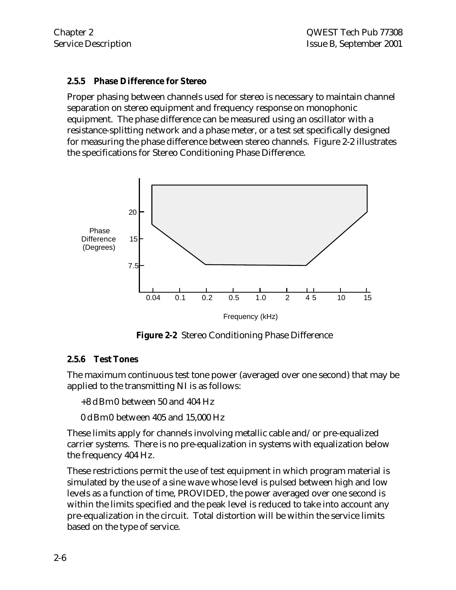#### **2.5.5 Phase Difference for Stereo**

Proper phasing between channels used for stereo is necessary to maintain channel separation on stereo equipment and frequency response on monophonic equipment. The phase difference can be measured using an oscillator with a resistance-splitting network and a phase meter, or a test set specifically designed for measuring the phase difference between stereo channels. Figure 2-2 illustrates the specifications for Stereo Conditioning Phase Difference.



**Figure 2-2** Stereo Conditioning Phase Difference

#### **2.5.6 Test Tones**

The maximum continuous test tone power (averaged over one second) that may be applied to the transmitting NI is as follows:

+8 dBm0 between 50 and 404 Hz

0 dBm0 between 405 and 15,000 Hz

These limits apply for channels involving metallic cable and/or pre-equalized carrier systems. There is no pre-equalization in systems with equalization below the frequency 404 Hz.

These restrictions permit the use of test equipment in which program material is simulated by the use of a sine wave whose level is pulsed between high and low levels as a function of time, PROVIDED, the power averaged over one second is within the limits specified and the peak level is reduced to take into account any pre-equalization in the circuit. Total distortion will be within the service limits based on the type of service.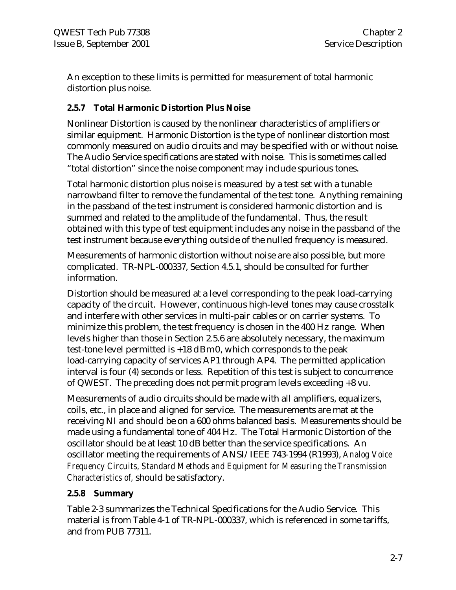An exception to these limits is permitted for measurement of total harmonic distortion plus noise.

#### **2.5.7 Total Harmonic Distortion Plus Noise**

Nonlinear Distortion is caused by the nonlinear characteristics of amplifiers or similar equipment. Harmonic Distortion is the type of nonlinear distortion most commonly measured on audio circuits and may be specified with or without noise. The Audio Service specifications are stated with noise. This is sometimes called "total distortion" since the noise component may include spurious tones.

Total harmonic distortion plus noise is measured by a test set with a tunable narrowband filter to remove the fundamental of the test tone. Anything remaining in the passband of the test instrument is considered harmonic distortion and is summed and related to the amplitude of the fundamental. Thus, the result obtained with this type of test equipment includes any noise in the passband of the test instrument because everything outside of the nulled frequency is measured.

Measurements of harmonic distortion without noise are also possible, but more complicated. TR-NPL-000337, Section 4.5.1, should be consulted for further information.

Distortion should be measured at a level corresponding to the peak load-carrying capacity of the circuit. However, continuous high-level tones may cause crosstalk and interfere with other services in multi-pair cables or on carrier systems. To minimize this problem, the test frequency is chosen in the 400 Hz range. When levels higher than those in Section 2.5.6 are absolutely necessary, the maximum test-tone level permitted is +18 dBm0, which corresponds to the peak load-carrying capacity of services AP1 through AP4. The permitted application interval is four (4) seconds or less. Repetition of this test is subject to concurrence of QWEST. The preceding does not permit program levels exceeding +8 vu.

Measurements of audio circuits should be made with all amplifiers, equalizers, coils, etc., in place and aligned for service. The measurements are mat at the receiving NI and should be on a 600 ohms balanced basis. Measurements should be made using a fundamental tone of 404 Hz. The Total Harmonic Distortion of the oscillator should be at least 10 dB better than the service specifications. An oscillator meeting the requirements of ANSI/IEEE 743-1994 (R1993), *Analog Voice Frequency Circuits, Standard Methods and Equipment for Measuring the Transmission Characteristics of,* should be satisfactory.

#### **2.5.8 Summary**

Table 2-3 summarizes the Technical Specifications for the Audio Service. This material is from Table 4-1 of TR-NPL-000337, which is referenced in some tariffs, and from PUB 77311.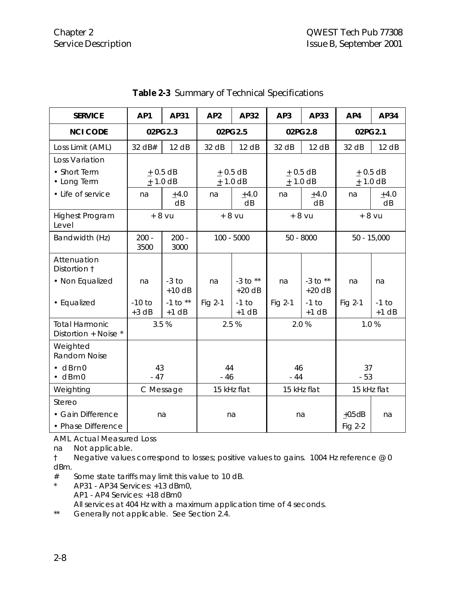| <b>SERVICE</b>                                | AP <sub>1</sub>     | AP31                          | AP <sub>2</sub>        | AP32                     | AP <sub>3</sub> | AP33                   | AP4         | AP34               |                       |  |                            |  |
|-----------------------------------------------|---------------------|-------------------------------|------------------------|--------------------------|-----------------|------------------------|-------------|--------------------|-----------------------|--|----------------------------|--|
| <b>NCI CODE</b>                               | 02PG2.3             |                               | 02PG2.5                |                          | 02PG2.8         |                        | 02PG2.1     |                    |                       |  |                            |  |
| Loss Limit (AML)                              | 32 dB#              | 12 dB                         | 32 dB                  | 12 dB                    | 32 dB           | 12 dB                  | 32 dB       | 12 dB              |                       |  |                            |  |
| Loss Variation                                |                     |                               |                        |                          |                 |                        |             |                    |                       |  |                            |  |
| • Short Term<br>• Long Term                   |                     | $+0.5$ dB<br>$+$ 1.0 dB       | $+0.5$ dB<br>$+1.0$ dB |                          |                 |                        |             |                    | $+0.5$ dB<br>± 1.0 dB |  | $\pm$ 0.5 dB<br>$+$ 1.0 dB |  |
| • Life of service                             | na                  | $+4.0$<br>dB                  | na                     | $+4.0$<br>dB             | na              | $+4.0$<br>dB           | na          | $+4.0$<br>dB       |                       |  |                            |  |
| <b>Highest Program</b><br>Level               |                     | $+8$ vu<br>$+8$ vu<br>$+8$ vu |                        |                          | $+8$ vu         |                        |             |                    |                       |  |                            |  |
| Bandwidth (Hz)                                | $200 -$<br>3500     | $200 -$<br>3000               | $100 - 5000$           |                          |                 |                        | $50 - 8000$ |                    |                       |  | $50 - 15,000$              |  |
| Attenuation<br>Distortion 1                   |                     |                               |                        |                          |                 |                        |             |                    |                       |  |                            |  |
| • Non Equalized                               | na                  | $-3$ to<br>$+10$ dB           | na                     | $-3$ to $**$<br>$+20$ dB | na              | -3 to $**$<br>$+20$ dB | na          | na                 |                       |  |                            |  |
| • Equalized                                   | $-10$ to<br>$+3$ dB | -1 to $**$<br>$+1$ dB         | Fig 2-1                | $-1$ to<br>$+1$ dB       | Fig 2-1         | $-1$ to<br>$+1$ dB     | Fig 2-1     | $-1$ to<br>$+1$ dB |                       |  |                            |  |
| <b>Total Harmonic</b><br>Distortion + Noise * |                     | 3.5 %                         |                        | 2.5%                     |                 | 2.0%                   | 1.0%        |                    |                       |  |                            |  |
| Weighted<br>Random Noise                      |                     |                               |                        |                          |                 |                        |             |                    |                       |  |                            |  |
| $\cdot$ dBrn0<br>$\cdot$ dBm0                 | 43<br>$-47$         |                               | 44<br>$-46$            |                          | 46<br>$-44$     |                        | 37<br>$-53$ |                    |                       |  |                            |  |
| Weighting                                     |                     | C Message                     |                        | 15 kHz flat              |                 | 15 kHz flat            | 15 kHz flat |                    |                       |  |                            |  |
| Stereo                                        |                     |                               |                        |                          |                 |                        |             |                    |                       |  |                            |  |
| • Gain Difference                             |                     | na                            |                        | na                       | na              |                        | $+0.5$ dB   | na                 |                       |  |                            |  |
| • Phase Difference                            |                     |                               |                        |                          |                 |                        | Fig $2-2$   |                    |                       |  |                            |  |

**Table 2-3** Summary of Technical Specifications

AML Actual Measured Loss

na Not applicable.

† Negative values correspond to losses; positive values to gains. 1004 Hz reference @ 0 dBm.

# Some state tariffs may limit this value to 10 dB.

\* AP31 - AP34 Services: +13 dBm0,

AP1 - AP4 Services: +18 dBm0

All services at 404 Hz with a maximum application time of 4 seconds.

\*\* Generally not applicable. See Section 2.4.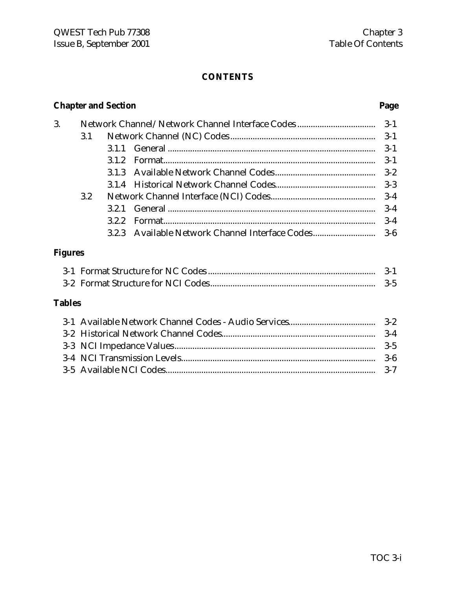# **CONTENTS**

# **Chapter and Section Page**

| 3.      |     |       | Network Channel/Network Channel Interface Codes | $3-1$   |
|---------|-----|-------|-------------------------------------------------|---------|
|         | 3.1 |       |                                                 | $3-1$   |
|         |     | 3.1.1 |                                                 | $3-1$   |
|         |     | 3.1.2 |                                                 | $3 - 1$ |
|         |     |       |                                                 | $3 - 2$ |
|         |     |       |                                                 | $3-3$   |
|         | 3.2 |       |                                                 | $3-4$   |
|         |     | 3.2.1 |                                                 | $3-4$   |
|         |     | 3.2.2 |                                                 | $3-4$   |
|         |     |       | 3.2.3 Available Network Channel Interface Codes | $3-6$   |
| Figures |     |       |                                                 |         |
|         |     |       |                                                 | $3-1$   |
|         |     |       |                                                 | $3-5$   |
| Tables  |     |       |                                                 |         |
|         |     |       |                                                 |         |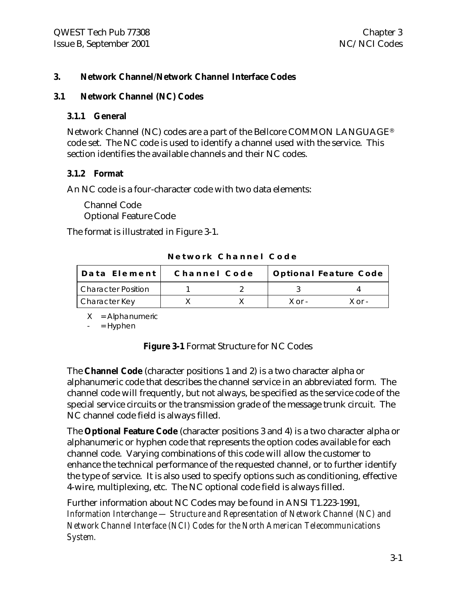#### **3. Network Channel/Network Channel Interface Codes**

#### **3.1 Network Channel (NC) Codes**

#### **3.1.1 General**

Network Channel (NC) codes are a part of the Bellcore COMMON LANGUAGE® code set. The NC code is used to identify a channel used with the service. This section identifies the available channels and their NC codes.

#### **3.1.2 Format**

An NC code is a four-character code with two data elements:

Channel Code Optional Feature Code

The format is illustrated in Figure 3-1.

**Network Channel Code**

| Data Element              | Channel Code |              | <b>Optional Feature Code</b> |
|---------------------------|--------------|--------------|------------------------------|
| <b>Character Position</b> |              |              |                              |
| Character Key             |              | $X \cap r -$ | X ∩r -                       |

 $X =$  Alphanumeric

 $=$  Hyphen

**Figure 3-1** Format Structure for NC Codes

The **Channel Code** (character positions 1 and 2) is a two character alpha or alphanumeric code that describes the channel service in an abbreviated form. The channel code will frequently, but not always, be specified as the service code of the special service circuits or the transmission grade of the message trunk circuit. The NC channel code field is always filled.

The **Optional Feature Code** (character positions 3 and 4) is a two character alpha or alphanumeric or hyphen code that represents the option codes available for each channel code. Varying combinations of this code will allow the customer to enhance the technical performance of the requested channel, or to further identify the type of service. It is also used to specify options such as conditioning, effective 4-wire, multiplexing, etc. The NC optional code field is always filled.

Further information about NC Codes may be found in ANSI T1.223-1991, *Information Interchange — Structure and Representation of Network Channel (NC) and Network Channel Interface (NCI) Codes for the North American Telecommunications System.*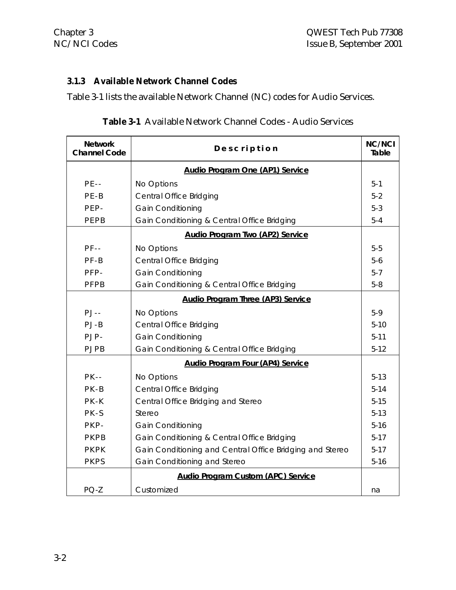# **3.1.3 Available Network Channel Codes**

Table 3-1 lists the available Network Channel (NC) codes for Audio Services.

| <b>Table 3-1</b> Available Network Channel Codes - Audio Services |  |  |  |  |  |  |
|-------------------------------------------------------------------|--|--|--|--|--|--|
|-------------------------------------------------------------------|--|--|--|--|--|--|

| <b>Network</b><br><b>Channel Code</b> | Description                                              | <b>NC/NCI</b><br>Table |
|---------------------------------------|----------------------------------------------------------|------------------------|
|                                       | <b>Audio Program One (AP1) Service</b>                   |                        |
| $PE--$                                | No Options                                               | $5 - 1$                |
| $PE-B$                                | <b>Central Office Bridging</b>                           | $5 - 2$                |
| PEP-                                  | Gain Conditioning                                        | $5 - 3$                |
| PEPB                                  | Gain Conditioning & Central Office Bridging              | $5 - 4$                |
|                                       | <b>Audio Program Two (AP2) Service</b>                   |                        |
| $PF - -$                              | No Options                                               | $5-5$                  |
| $PF-B$                                | <b>Central Office Bridging</b>                           | $5-6$                  |
| PFP-                                  | <b>Gain Conditioning</b>                                 | $5 - 7$                |
| PFPB                                  | Gain Conditioning & Central Office Bridging              | $5-8$                  |
|                                       | <b>Audio Program Three (AP3) Service</b>                 |                        |
| $PJ - -$                              | No Options                                               | $5-9$                  |
| $PJ-B$                                | <b>Central Office Bridging</b>                           | $5-10$                 |
| PJP-                                  | <b>Gain Conditioning</b>                                 | $5 - 11$               |
| <b>PJPB</b>                           | Gain Conditioning & Central Office Bridging              | $5-12$                 |
|                                       | <b>Audio Program Four (AP4) Service</b>                  |                        |
| $PK - -$                              | No Options                                               | $5-13$                 |
| $PK-B$                                | <b>Central Office Bridging</b>                           | $5-14$                 |
| PK-K                                  | Central Office Bridging and Stereo                       | $5-15$                 |
| PK-S                                  | Stereo                                                   | $5-13$                 |
| PKP-                                  | <b>Gain Conditioning</b>                                 | $5-16$                 |
| PKPB                                  | Gain Conditioning & Central Office Bridging              | $5-17$                 |
| PKPK                                  | Gain Conditioning and Central Office Bridging and Stereo | $5-17$                 |
| <b>PKPS</b>                           | Gain Conditioning and Stereo                             | $5 - 16$               |
|                                       | <b>Audio Program Custom (APC) Service</b>                |                        |
| $PQ-Z$                                | Customized                                               | na                     |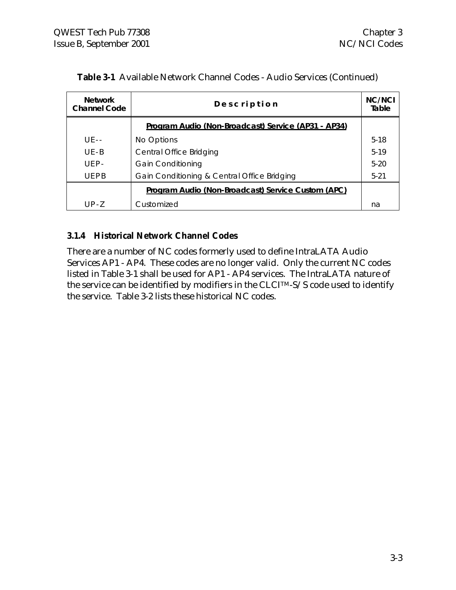| <b>Network</b><br>Channel Code | Description                                         | <b>NC/NCI</b><br>Table |
|--------------------------------|-----------------------------------------------------|------------------------|
|                                | Program Audio (Non-Broadcast) Service (AP31 - AP34) |                        |
| $UF - -$                       | No Options                                          | $5-18$                 |
| $UF - B$                       | Central Office Bridging                             | $5-19$                 |
| $UFP-$                         | <b>Gain Conditioning</b>                            | $5-20$                 |
| UFPB                           | Gain Conditioning & Central Office Bridging         | $5 - 21$               |
|                                | Program Audio (Non-Broadcast) Service Custom (APC)  |                        |
| $UP-7$                         | Customized                                          | na                     |

| Table 3-1 Available Network Channel Codes - Audio Services (Continued) |
|------------------------------------------------------------------------|
|                                                                        |

#### **3.1.4 Historical Network Channel Codes**

There are a number of NC codes formerly used to define IntraLATA Audio Services AP1 - AP4. These codes are no longer valid. Only the current NC codes listed in Table 3-1 shall be used for AP1 - AP4 services. The IntraLATA nature of the service can be identified by modifiers in the CLCITM-S/S code used to identify the service. Table 3-2 lists these historical NC codes.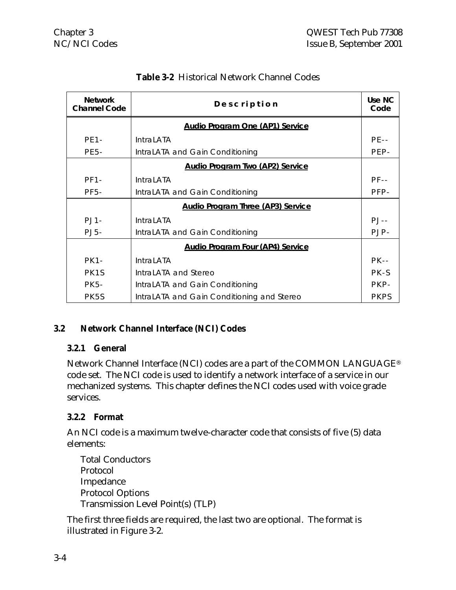| <b>Network</b><br><b>Channel Code</b> | Description                                | Use NC<br>Code |
|---------------------------------------|--------------------------------------------|----------------|
|                                       | <b>Audio Program One (AP1) Service</b>     |                |
| <b>PE1-</b>                           | <b>IntraLATA</b>                           | $PF - -$       |
| <b>PE5-</b>                           | IntraLATA and Gain Conditioning            | PEP-           |
|                                       | <b>Audio Program Two (AP2) Service</b>     |                |
| $PF1-$                                | <b>IntraLATA</b>                           | $PF - -$       |
| <b>PF5-</b>                           | IntraLATA and Gain Conditioning            | PFP-           |
|                                       | <b>Audio Program Three (AP3) Service</b>   |                |
| $PJ1-$                                | <b>IntraLATA</b>                           | $PJ - -$       |
| $PJ5-$                                | IntraLATA and Gain Conditioning            | PJP-           |
|                                       | <b>Audio Program Four (AP4) Service</b>    |                |
| <b>PK1-</b>                           | <b>IntraLATA</b>                           | $PK - -$       |
| PK <sub>1</sub> S                     | IntraLATA and Stereo                       | PK-S           |
| PK 5-                                 | IntraLATA and Gain Conditioning            | PKP-           |
| PK5S                                  | IntraLATA and Gain Conditioning and Stereo | <b>PKPS</b>    |

# **Table 3-2** Historical Network Channel Codes

#### **3.2 Network Channel Interface (NCI) Codes**

#### **3.2.1 General**

Network Channel Interface (NCI) codes are a part of the COMMON LANGUAGE® code set. The NCI code is used to identify a network interface of a service in our mechanized systems. This chapter defines the NCI codes used with voice grade services.

#### **3.2.2 Format**

An NCI code is a maximum twelve-character code that consists of five (5) data elements:

Total Conductors Protocol Impedance Protocol Options Transmission Level Point(s) (TLP)

The first three fields are required, the last two are optional. The format is illustrated in Figure 3-2.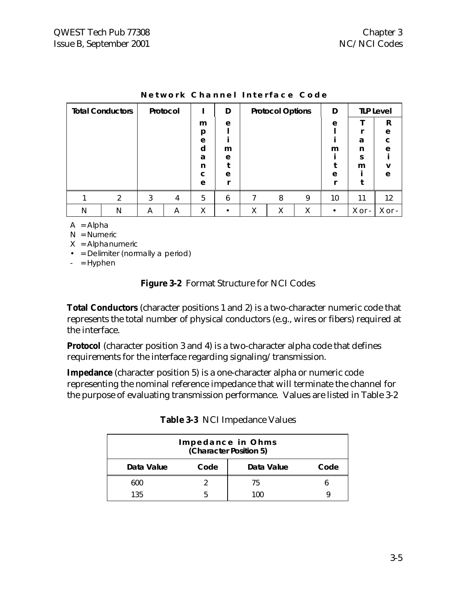|   | <b>Total Conductors</b><br>Protocol |   |   | D |   | <b>Protocol Options</b> |   | D |           | <b>TLP Level</b> |             |
|---|-------------------------------------|---|---|---|---|-------------------------|---|---|-----------|------------------|-------------|
|   |                                     |   |   | m | e |                         |   |   | e         |                  | R           |
|   |                                     |   |   | p |   |                         |   |   |           |                  | e           |
|   |                                     |   |   | e |   |                         |   |   |           | a                | $\mathbf C$ |
|   |                                     |   |   | d | m |                         |   |   | m         | n                | e           |
|   |                                     |   |   | a | e |                         |   |   |           | S                |             |
|   |                                     |   |   | n |   |                         |   |   |           | m                | v           |
|   |                                     |   |   | C | e |                         |   |   | e         |                  | e           |
|   |                                     |   |   | e |   |                         |   |   |           |                  |             |
|   | $\mathcal{P}$                       | 3 | 4 | 5 | 6 |                         | 8 | 9 | 10        | 11               | 12          |
| N | N                                   | A | A | Χ |   | Χ                       | Χ | Χ | $\bullet$ | $X$ or -         | X or -      |

| Network Channel Interface Code |  |  |
|--------------------------------|--|--|
|--------------------------------|--|--|

 $A =$  Alpha

 $N =$  Numeric

 $X =$  Alphanumeric

• = Delimiter (normally a period)

 $-$  = Hyphen

#### **Figure 3-2** Format Structure for NCI Codes

**Total Conductors** (character positions 1 and 2) is a two-character numeric code that represents the total number of physical conductors (e.g., wires or fibers) required at the interface.

**Protocol** (character position 3 and 4) is a two-character alpha code that defines requirements for the interface regarding signaling/transmission.

**Impedance** (character position 5) is a one-character alpha or numeric code representing the nominal reference impedance that will terminate the channel for the purpose of evaluating transmission performance. Values are listed in Table 3-2

|            |      | Impedance in Ohms<br>(Character Position 5) |      |
|------------|------|---------------------------------------------|------|
| Data Value | Code | Data Value                                  | Code |
| 600        |      | 75                                          |      |
| 135        |      | 1ሰበ                                         |      |

|  |  | Table 3-3 NCI Impedance Values |  |
|--|--|--------------------------------|--|
|--|--|--------------------------------|--|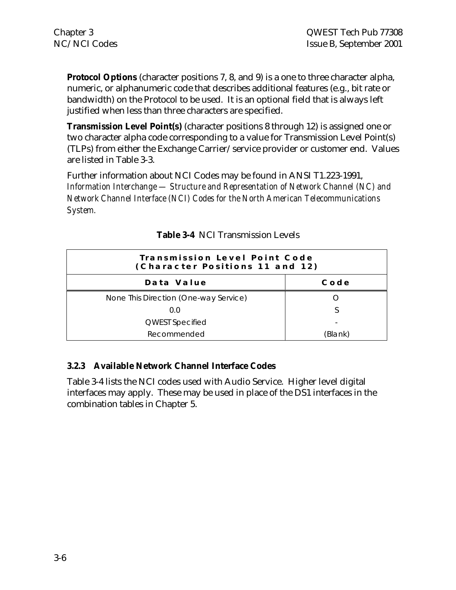**Protocol Options** (character positions 7, 8, and 9) is a one to three character alpha, numeric, or alphanumeric code that describes additional features (e.g., bit rate or bandwidth) on the Protocol to be used. It is an optional field that is always left justified when less than three characters are specified.

**Transmission Level Point(s)** (character positions 8 through 12) is assigned one or two character alpha code corresponding to a value for Transmission Level Point(s) (TLPs) from either the Exchange Carrier/service provider or customer end. Values are listed in Table 3-3.

Further information about NCI Codes may be found in ANSI T1.223-1991, *Information Interchange — Structure and Representation of Network Channel (NC) and Network Channel Interface (NCI) Codes for the North American Telecommunications System.*

| Transmission Level Point Code<br>(Character Positions 11 and 12) |             |
|------------------------------------------------------------------|-------------|
| Data Value                                                       | $C$ o d $e$ |
| None This Direction (One-way Service)                            |             |
| 0.0                                                              |             |
| <b>QWEST Specified</b>                                           |             |
| Recommended                                                      | (Blank)     |

|  | <b>Table 3-4</b> NCI Transmission Levels |  |
|--|------------------------------------------|--|
|  |                                          |  |

#### **3.2.3 Available Network Channel Interface Codes**

Table 3-4 lists the NCI codes used with Audio Service. Higher level digital interfaces may apply. These may be used in place of the DS1 interfaces in the combination tables in Chapter 5.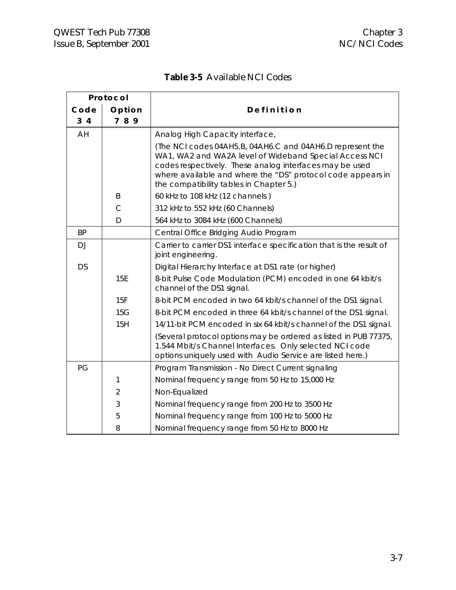$\blacksquare$ 

|  |  | <b>Table 3-5</b> Available NCI Codes |
|--|--|--------------------------------------|
|--|--|--------------------------------------|

| Protocol       |                |                                                                                                                                                                                                                                                                                          |
|----------------|----------------|------------------------------------------------------------------------------------------------------------------------------------------------------------------------------------------------------------------------------------------------------------------------------------------|
| Code           | Option         | Definition                                                                                                                                                                                                                                                                               |
| 3 <sub>4</sub> | 789            |                                                                                                                                                                                                                                                                                          |
| AH             |                | Analog High Capacity interface,                                                                                                                                                                                                                                                          |
|                |                | (The NCI codes 04AH5.B, 04AH6.C and 04AH6.D represent the<br>WA1, WA2 and WA2A level of Wideband Special Access NCI<br>codes respectively. These analog interfaces may be used<br>where available and where the "DS" protocol code appears in<br>the compatibility tables in Chapter 5.) |
|                | B              | 60 kHz to 108 kHz (12 channels)                                                                                                                                                                                                                                                          |
|                | C              | 312 kHz to 552 kHz (60 Channels)                                                                                                                                                                                                                                                         |
|                | D              | 564 kHz to 3084 kHz (600 Channels)                                                                                                                                                                                                                                                       |
| <b>BP</b>      |                | Central Office Bridging Audio Program                                                                                                                                                                                                                                                    |
| DJ             |                | Carrier to carrier DS1 interface specification that is the result of<br>joint engineering.                                                                                                                                                                                               |
| <b>DS</b>      |                | Digital Hierarchy Interface at DS1 rate (or higher)                                                                                                                                                                                                                                      |
|                | 15E            | 8-bit Pulse Code Modulation (PCM) encoded in one 64 kbit/s<br>channel of the DS1 signal.                                                                                                                                                                                                 |
|                | 15F            | 8-bit PCM encoded in two 64 kbit/s channel of the DS1 signal.                                                                                                                                                                                                                            |
|                | 15G            | 8-bit PCM encoded in three 64 kbit/s channel of the DS1 signal.                                                                                                                                                                                                                          |
|                | 15H            | 14/11-bit PCM encoded in six 64 kbit/s channel of the DS1 signal.                                                                                                                                                                                                                        |
|                |                | (Several protocol options may be ordered as listed in PUB 77375,<br>1.544 Mbit/s Channel Interfaces. Only selected NCI code<br>options uniquely used with Audio Service are listed here.)                                                                                                |
| PG             |                | Program Transmission - No Direct Current signaling                                                                                                                                                                                                                                       |
|                | 1              | Nominal frequency range from 50 Hz to 15,000 Hz                                                                                                                                                                                                                                          |
|                | $\overline{2}$ | Non-Equalized                                                                                                                                                                                                                                                                            |
|                | 3              | Nominal frequency range from 200 Hz to 3500 Hz                                                                                                                                                                                                                                           |
|                | 5              | Nominal frequency range from 100 Hz to 5000 Hz                                                                                                                                                                                                                                           |
|                | 8              | Nominal frequency range from 50 Hz to 8000 Hz                                                                                                                                                                                                                                            |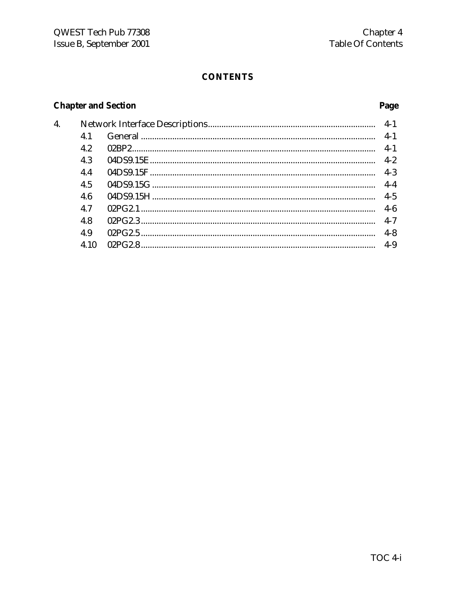# **CONTENTS**

# **Chapter and Section**

| $\overline{4}$ . |      |  |         |  |  |  |  |
|------------------|------|--|---------|--|--|--|--|
|                  | 4.1  |  |         |  |  |  |  |
|                  | 4.2  |  | $4-1$   |  |  |  |  |
|                  | 4.3  |  |         |  |  |  |  |
|                  | 4.4  |  | $4 - 3$ |  |  |  |  |
|                  | 4.5  |  | $4-4$   |  |  |  |  |
|                  | 4.6  |  | $4 - 5$ |  |  |  |  |
|                  | 4.7  |  | $4-6$   |  |  |  |  |
|                  | 4.8  |  | $4 - 7$ |  |  |  |  |
|                  | 4.9  |  | $4 - 8$ |  |  |  |  |
|                  | 4.10 |  |         |  |  |  |  |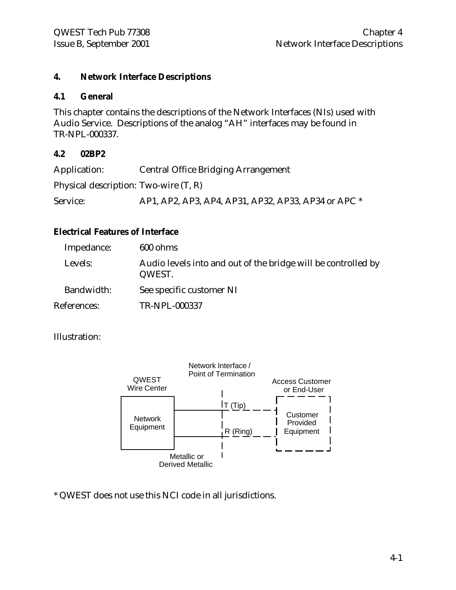#### **4. Network Interface Descriptions**

#### **4.1 General**

This chapter contains the descriptions of the Network Interfaces (NIs) used with Audio Service. Descriptions of the analog "AH" interfaces may be found in TR-NPL-000337.

#### **4.2 02BP2**

| Application:                            | <b>Central Office Bridging Arrangement</b>          |
|-----------------------------------------|-----------------------------------------------------|
| Physical description: Two-wire $(T, R)$ |                                                     |
| Service:                                | AP1, AP2, AP3, AP4, AP31, AP32, AP33, AP34 or APC * |

#### **Electrical Features of Interface**

| Impedance:  | 600 ohms                                                                |
|-------------|-------------------------------------------------------------------------|
| Levels:     | Audio levels into and out of the bridge will be controlled by<br>QWEST. |
| Bandwidth:  | See specific customer NI                                                |
| References: | TR-NPL-000337                                                           |

#### Illustration:



\* QWEST does not use this NCI code in all jurisdictions.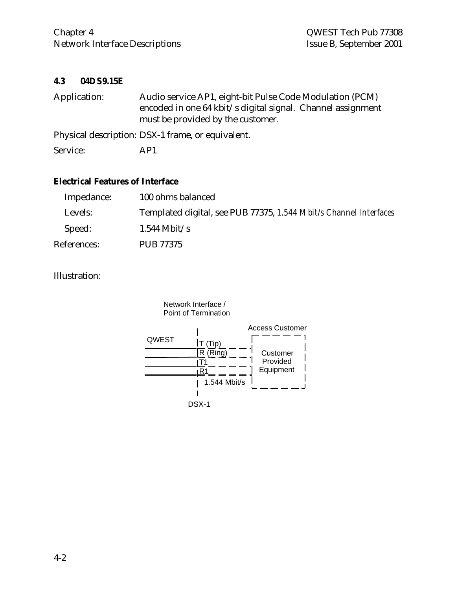#### **4.3 04DS9.15E**

| Application: | Audio service AP1, eight-bit Pulse Code Modulation (PCM)<br>encoded in one 64 kbit/s digital signal. Channel assignment<br>must be provided by the customer. |
|--------------|--------------------------------------------------------------------------------------------------------------------------------------------------------------|
|              | Physical description: DSX-1 frame, or equivalent.                                                                                                            |
| Service:     | AP1                                                                                                                                                          |

#### **Electrical Features of Interface**

| Impedance:  | 100 ohms balanced                                                 |
|-------------|-------------------------------------------------------------------|
| Levels:     | Templated digital, see PUB 77375, 1.544 Mbit/s Channel Interfaces |
| Speed:      | $1.544$ Mbit/s                                                    |
| References: | <b>PUB 77375</b>                                                  |

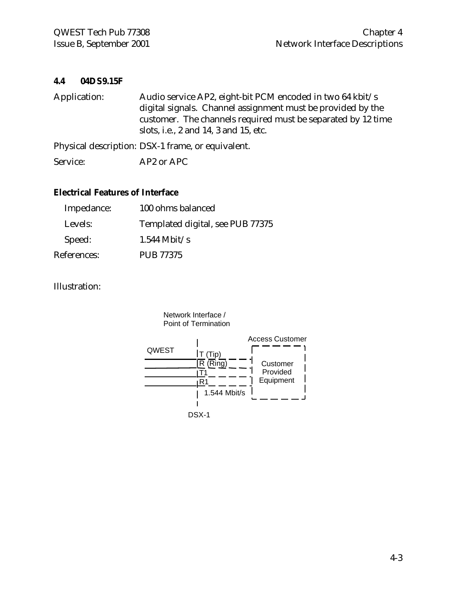#### **4.4 04DS9.15F**

| Application: | Audio service AP2, eight-bit PCM encoded in two 64 kbit/s    |
|--------------|--------------------------------------------------------------|
|              | digital signals. Channel assignment must be provided by the  |
|              | customer. The channels required must be separated by 12 time |
|              | slots, i.e., 2 and 14, 3 and 15, etc.                        |
|              | Physical description: DSX-1 frame, or equivalent.            |
| Service:     | AP2 or APC                                                   |

#### **Electrical Features of Interface**

| Impedance:  | 100 ohms balanced                |
|-------------|----------------------------------|
| Levels:     | Templated digital, see PUB 77375 |
| Speed:      | $1.544$ Mbit/s                   |
| References: | <b>PUB 77375</b>                 |

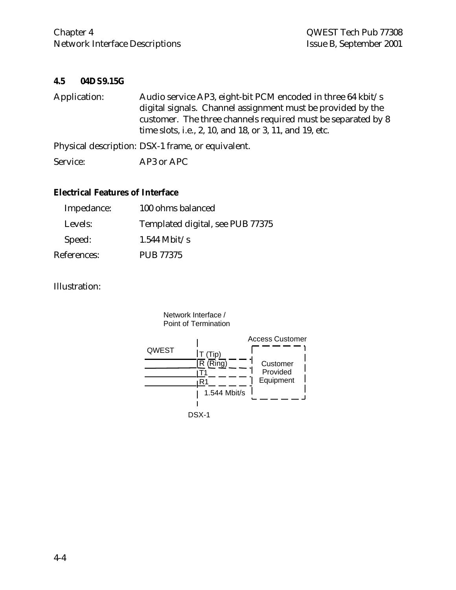#### **4.5 04DS9.15G**

| Application: | Audio service AP3, eight-bit PCM encoded in three 64 kbit/s  |
|--------------|--------------------------------------------------------------|
|              | digital signals. Channel assignment must be provided by the  |
|              | customer. The three channels required must be separated by 8 |
|              | time slots, i.e., 2, 10, and 18, or 3, 11, and 19, etc.      |
|              | Physical description: DSX-1 frame, or equivalent.            |
| Service:     | AP3 or APC                                                   |

#### **Electrical Features of Interface**

| Impedance:  | 100 ohms balanced                |
|-------------|----------------------------------|
| Levels:     | Templated digital, see PUB 77375 |
| Speed:      | $1.544$ Mbit/s                   |
| References: | <b>PUB 77375</b>                 |

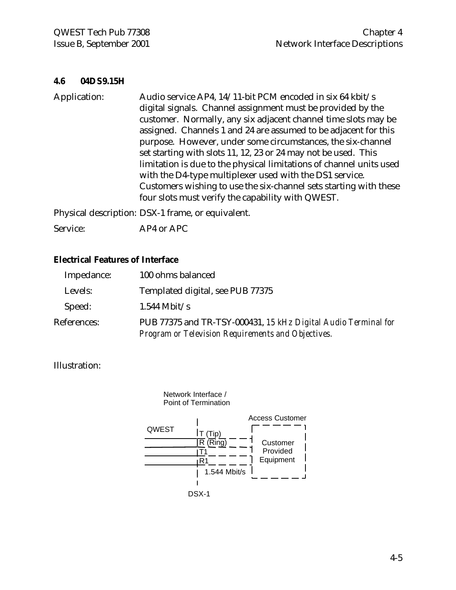#### **4.6 04DS9.15H**

Application: Audio service AP4, 14/11-bit PCM encoded in six 64 kbit/s digital signals. Channel assignment must be provided by the customer. Normally, any six adjacent channel time slots may be assigned. Channels 1 and 24 are assumed to be adjacent for this purpose. However, under some circumstances, the six-channel set starting with slots 11, 12, 23 or 24 may not be used. This limitation is due to the physical limitations of channel units used with the D4-type multiplexer used with the DS1 service. Customers wishing to use the six-channel sets starting with these four slots must verify the capability with QWEST.

Physical description: DSX-1 frame, or equivalent.

Service: AP4 or APC

#### **Electrical Features of Interface**

| Impedance:  | 100 ohms balanced                                                                                                    |
|-------------|----------------------------------------------------------------------------------------------------------------------|
| Levels:     | Templated digital, see PUB 77375                                                                                     |
| Speed:      | $1.544$ Mbit/s                                                                                                       |
| References: | PUB 77375 and TR-TSY-000431, 15 kHz Digital Audio Terminal for<br>Program or Television Requirements and Objectives. |

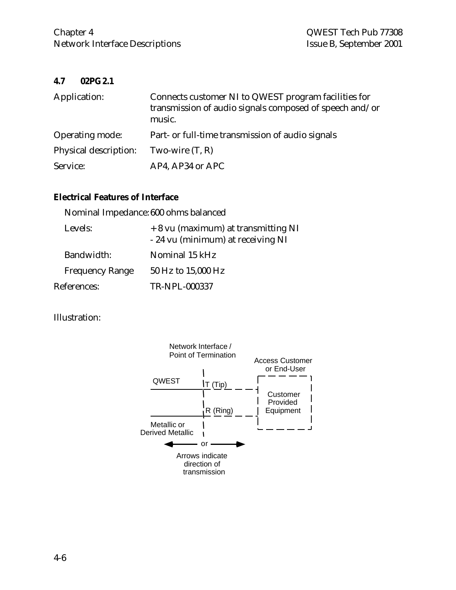#### **4.7 02PG2.1**

| Application:          | Connects customer NI to QWEST program facilities for<br>transmission of audio signals composed of speech and/or<br>music. |
|-----------------------|---------------------------------------------------------------------------------------------------------------------------|
| Operating mode:       | Part- or full-time transmission of audio signals                                                                          |
| Physical description: | Two-wire $(T, R)$                                                                                                         |
| Service:              | AP4, AP34 or APC                                                                                                          |

# **Electrical Features of Interface**

|                        | Nominal Impedance: 600 ohms balanced                                     |
|------------------------|--------------------------------------------------------------------------|
| Levels:                | + 8 vu (maximum) at transmitting NI<br>- 24 vu (minimum) at receiving NI |
| Bandwidth:             | Nominal 15 kHz                                                           |
| <b>Frequency Range</b> | 50 Hz to 15,000 Hz                                                       |
| References:            | TR-NPL-000337                                                            |

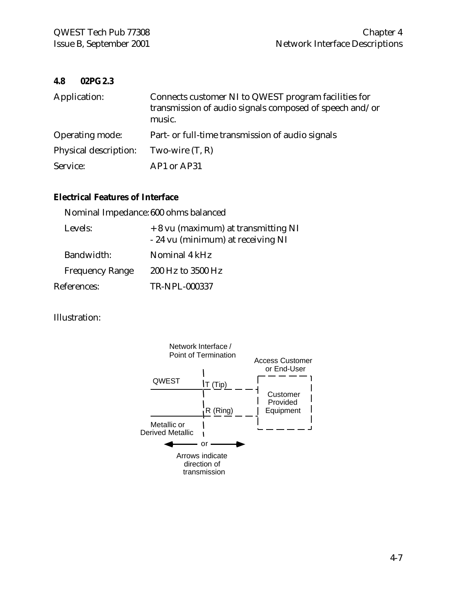#### **4.8 02PG2.3**

| Application:          | Connects customer NI to QWEST program facilities for<br>transmission of audio signals composed of speech and/or<br>music. |
|-----------------------|---------------------------------------------------------------------------------------------------------------------------|
| Operating mode:       | Part- or full-time transmission of audio signals                                                                          |
| Physical description: | Two-wire $(T, R)$                                                                                                         |
| Service:              | AP1 or AP31                                                                                                               |

# **Electrical Features of Interface**

|                        | Nominal Impedance: 600 ohms balanced                                     |
|------------------------|--------------------------------------------------------------------------|
| Levels:                | + 8 vu (maximum) at transmitting NI<br>- 24 vu (minimum) at receiving NI |
| Bandwidth:             | Nominal 4 kHz                                                            |
| <b>Frequency Range</b> | 200 Hz to 3500 Hz                                                        |
| References:            | TR-NPL-000337                                                            |

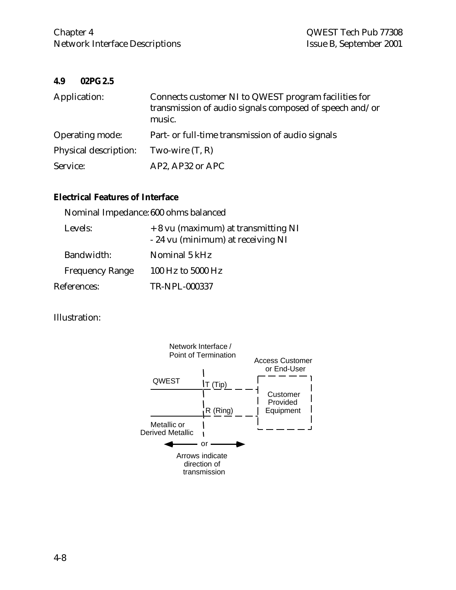#### **4.9 02PG2.5**

| Application:           | Connects customer NI to QWEST program facilities for<br>transmission of audio signals composed of speech and/or<br>music. |
|------------------------|---------------------------------------------------------------------------------------------------------------------------|
| <b>Operating mode:</b> | Part- or full-time transmission of audio signals                                                                          |
| Physical description:  | Two-wire $(T, R)$                                                                                                         |
| Service:               | AP2, AP32 or APC                                                                                                          |

# **Electrical Features of Interface**

|                        | Nominal Impedance: 600 ohms balanced                                     |
|------------------------|--------------------------------------------------------------------------|
| Levels:                | + 8 vu (maximum) at transmitting NI<br>- 24 vu (minimum) at receiving NI |
| Bandwidth:             | Nominal 5 kHz                                                            |
| <b>Frequency Range</b> | 100 Hz to 5000 Hz                                                        |
| References:            | TR-NPL-000337                                                            |

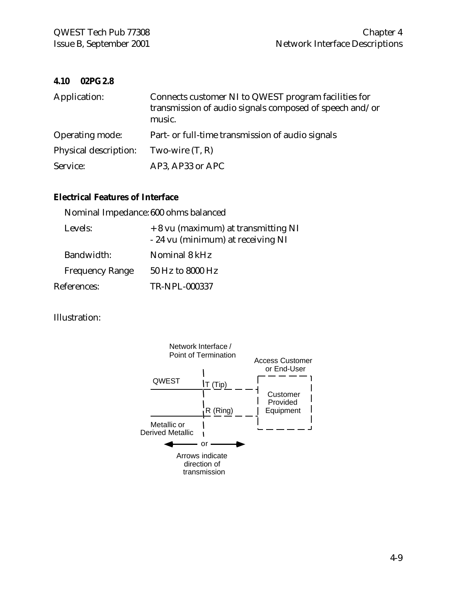#### **4.10 02PG2.8**

| Application:          | Connects customer NI to QWEST program facilities for<br>transmission of audio signals composed of speech and/or<br>music. |
|-----------------------|---------------------------------------------------------------------------------------------------------------------------|
| Operating mode:       | Part- or full-time transmission of audio signals                                                                          |
| Physical description: | Two-wire $(T, R)$                                                                                                         |
| Service:              | AP3, AP33 or APC                                                                                                          |

# **Electrical Features of Interface**

|                        | Nominal Impedance: 600 ohms balanced                                     |
|------------------------|--------------------------------------------------------------------------|
| Levels:                | + 8 vu (maximum) at transmitting NI<br>- 24 vu (minimum) at receiving NI |
| Bandwidth:             | Nominal 8 kHz                                                            |
| <b>Frequency Range</b> | 50 Hz to 8000 Hz                                                         |
| References:            | TR-NPL-000337                                                            |

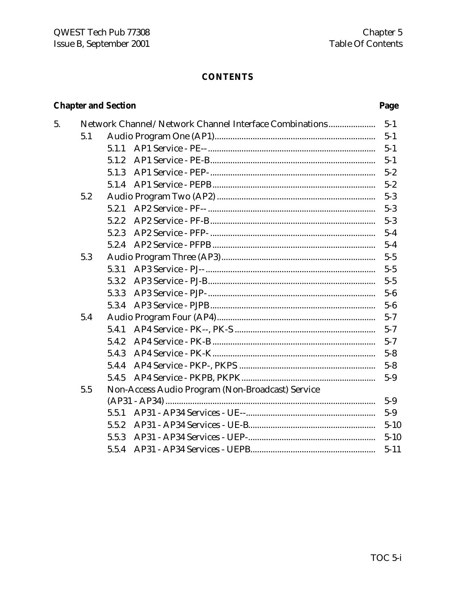# **CONTENTS**

# **Chapter and Section**

5.

|     |       | Network Channel/Network Channel Interface Combinations |
|-----|-------|--------------------------------------------------------|
| 5.1 |       |                                                        |
|     | 5.1.1 |                                                        |
|     | 5.1.2 |                                                        |
|     | 5.1.3 |                                                        |
|     | 5.1.4 |                                                        |
| 5.2 |       |                                                        |
|     | 5.2.1 |                                                        |
|     | 5.2.2 |                                                        |
|     | 5.2.3 |                                                        |
|     | 5.2.4 |                                                        |
| 5.3 |       |                                                        |
|     | 5.3.1 |                                                        |
|     | 5.3.2 |                                                        |
|     | 5.3.3 |                                                        |
|     | 5.3.4 |                                                        |
| 5.4 |       |                                                        |
|     | 5.4.1 |                                                        |
|     | 5.4.2 |                                                        |
|     | 5.4.3 |                                                        |
|     | 5.4.4 |                                                        |
|     | 5.4.5 |                                                        |
| 5.5 |       | Non-Access Audio Program (Non-Broadcast) Service       |
|     |       |                                                        |
|     | 5.5.1 |                                                        |
|     | 5.5.2 |                                                        |
|     | 5.5.3 |                                                        |
|     | 5.5.4 |                                                        |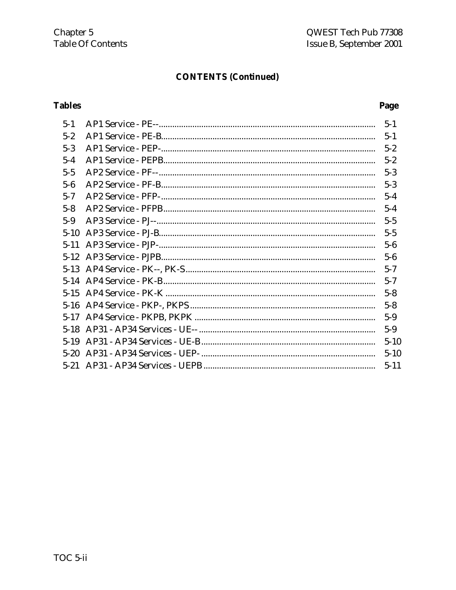# **CONTENTS (Continued)**

# **Tables**

| $5 - 1$  | $5 - 1$  |
|----------|----------|
| $5 - 2$  | $5 - 1$  |
| $5 - 3$  | $5 - 2$  |
| $5 - 4$  | $5 - 2$  |
| $5 - 5$  | $5 - 3$  |
| $5 - 6$  | $5 - 3$  |
| $5 - 7$  | $5-4$    |
| $5 - 8$  | $5 - 4$  |
| $5 - 9$  | $5 - 5$  |
| $5 - 10$ | $5 - 5$  |
| $5 - 11$ | $5-6$    |
| $5 - 12$ | $5 - 6$  |
| $5-13$   | $5 - 7$  |
|          | $5 - 7$  |
| $5 - 15$ | $5 - 8$  |
| $5 - 16$ | $5 - 8$  |
| $5 - 17$ | $5-9$    |
| $5 - 18$ | $5-9$    |
| $5 - 19$ | $5 - 10$ |
| $5 - 20$ | $5 - 10$ |
| $5 - 21$ | $5 - 11$ |
|          |          |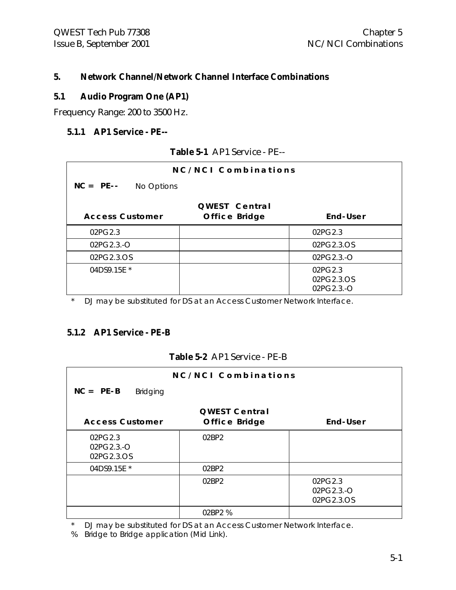#### **5. Network Channel/Network Channel Interface Combinations**

#### **5.1 Audio Program One (AP1)**

Frequency Range: 200 to 3500 Hz.

#### **5.1.1 AP1 Service - PE--**

| NC/NCI Combinations        |                      |                                     |
|----------------------------|----------------------|-------------------------------------|
| $NC = PE$ --<br>No Options |                      |                                     |
|                            | <b>QWEST Central</b> |                                     |
| <b>Access Customer</b>     | Office Bridge        | End-User                            |
| 02PG2.3                    |                      | 02PG2.3                             |
| 02PG2.3.-O                 |                      | 02PG2.3.OS                          |
| 02PG2.3.OS                 |                      | 02PG2.3.-O                          |
| 04DS9.15E *                |                      | 02PG2.3<br>02PG2.3.OS<br>02PG2.3.-O |

**Table 5-1** AP1 Service - PE--

\* DJ may be substituted for DS at an Access Customer Network Interface.

#### **5.1.2 AP1 Service - PE-B**

#### **Table 5-2** AP1 Service - PE-B

| NC/NCI Combinations            |                      |            |
|--------------------------------|----------------------|------------|
| $NC = PE-B$<br><b>Bridging</b> |                      |            |
|                                | <b>QWEST Central</b> |            |
| <b>Access Customer</b>         | Office Bridge        | End-User   |
| 02PG2.3                        | 02BP2                |            |
| 02PG2.3.-O                     |                      |            |
| 02PG2.3.OS                     |                      |            |
| 04DS9.15E *                    | 02BP2                |            |
|                                | 02BP2                | 02PG2.3    |
|                                |                      | 02PG2.3.-O |
|                                |                      | 02PG2.3.OS |
|                                | 02BP2 %              |            |

\* DJ may be substituted for DS at an Access Customer Network Interface.

% Bridge to Bridge application (Mid Link).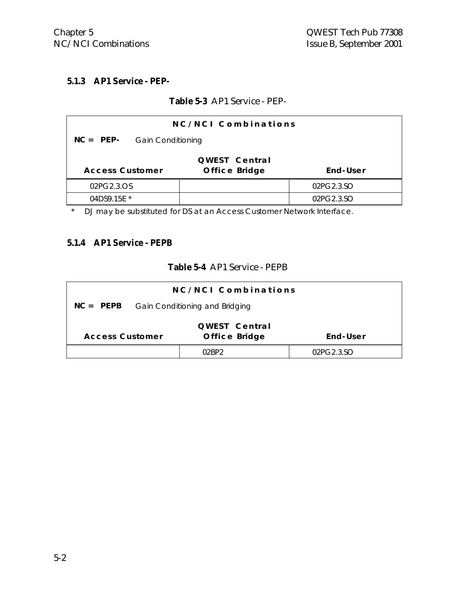### **5.1.3 AP1 Service - PEP-**

#### **Table 5-3** AP1 Service - PEP-

| NC/NCI Combinations                                                  |  |            |
|----------------------------------------------------------------------|--|------------|
| $NC = PEP-$<br><b>Gain Conditioning</b>                              |  |            |
| QWEST Central<br>End-User<br>Office Bridge<br><b>Access Customer</b> |  |            |
| 02PG2.3.OS                                                           |  | 02PG2.3.SO |
| 04DS9.15E *                                                          |  | 02PG2.3.SO |

\* DJ may be substituted for DS at an Access Customer Network Interface.

#### **5.1.4 AP1 Service - PEPB**

#### **Table 5-4** AP1 Service - PEPB

| NC/NCI Combinations                           |                                |            |
|-----------------------------------------------|--------------------------------|------------|
| $NC = PEPB$<br>Gain Conditioning and Bridging |                                |            |
| <b>Access Customer</b>                        | QWEST Central<br>Office Bridge | End-User   |
|                                               | በንRPን                          | 02PG2.3.SO |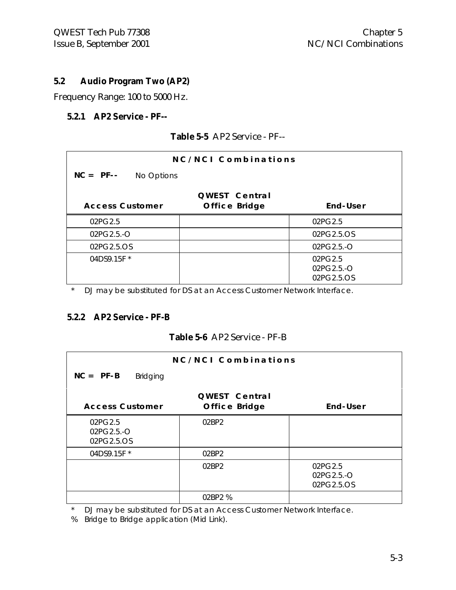#### **5.2 Audio Program Two (AP2)**

Frequency Range: 100 to 5000 Hz.

#### **5.2.1 AP2 Service - PF--**

| NC/NCI Combinations       |                                |                                     |
|---------------------------|--------------------------------|-------------------------------------|
| $NC = PF -$<br>No Options |                                |                                     |
| <b>Access Customer</b>    | QWEST Central<br>Office Bridge | End-User                            |
| 02PG2.5                   |                                | 02PG2.5                             |
| $02PG2.5.-O$              |                                | 02PG2.5.OS                          |
| 02PG2.5.OS                |                                | 02PG2.5.-O                          |
| 04DS9.15F *               |                                | 02PG2.5<br>02PG2.5.-O<br>02PG2.5.OS |

**Table 5-5** AP2 Service - PF--

DJ may be substituted for DS at an Access Customer Network Interface.

#### **5.2.2 AP2 Service - PF-B**

#### **Table 5-6** AP2 Service - PF-B

| NC/NCI Combinations                   |                                       |                                     |
|---------------------------------------|---------------------------------------|-------------------------------------|
| $NC = PF - B$<br><b>Bridging</b>      |                                       |                                     |
| <b>Access Customer</b>                | <b>QWEST Central</b><br>Office Bridge | End-User                            |
| 02PG2.5<br>$02PG2.5.-O$<br>02PG2.5.OS | 02BP2                                 |                                     |
| 04DS9.15F *                           | 02BP2                                 |                                     |
|                                       | 02BP2                                 | 02PG2.5<br>02PG2.5.-O<br>02PG2.5.OS |
|                                       | 02BP2 %                               |                                     |

\* DJ may be substituted for DS at an Access Customer Network Interface.

% Bridge to Bridge application (Mid Link).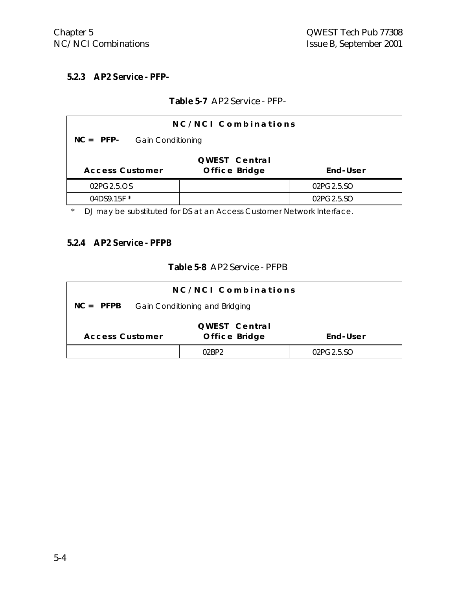#### **5.2.3 AP2 Service - PFP-**

#### **Table 5-7** AP2 Service - PFP-

| NC/NCI Combinations                                                  |  |            |
|----------------------------------------------------------------------|--|------------|
| $NC = PFP-$<br><b>Gain Conditioning</b>                              |  |            |
| QWEST Central<br>End-User<br>Office Bridge<br><b>Access Customer</b> |  |            |
| 02PG2.5.OS                                                           |  | 02PG2.5.SO |
| 04DS9.15F *                                                          |  | 02PG2.5.SO |

\* DJ may be substituted for DS at an Access Customer Network Interface.

#### **5.2.4 AP2 Service - PFPB**

#### **Table 5-8** AP2 Service - PFPB

| NC/NCI Combinations                                                  |  |            |  |  |
|----------------------------------------------------------------------|--|------------|--|--|
| $NC = PFPB$<br>Gain Conditioning and Bridging                        |  |            |  |  |
| QWEST Central<br>Office Bridge<br><b>Access Customer</b><br>End-User |  |            |  |  |
|                                                                      |  | 02PG2.5.SO |  |  |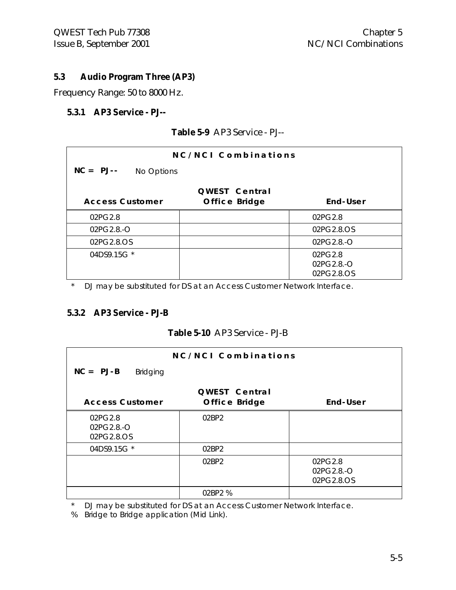#### **5.3 Audio Program Three (AP3)**

Frequency Range: 50 to 8000 Hz.

#### **5.3.1 AP3 Service - PJ--**

|  | Table 5-9 AP3 Service - PJ-- |  |
|--|------------------------------|--|
|  |                              |  |

| NC/NCL Combinations       |                                |                                       |  |
|---------------------------|--------------------------------|---------------------------------------|--|
| $NC = PJ--$<br>No Options |                                |                                       |  |
| <b>Access Customer</b>    | QWEST Central<br>Office Bridge | End-User                              |  |
| 02PG2.8                   |                                | 02PG2.8                               |  |
| 02PG2.8.-O                |                                | 02PG2.8.OS                            |  |
| 02PG2.8.OS                |                                | $02PG2.8.-O$                          |  |
| 04DS9.15G *               |                                | 02PG2.8<br>$02PG2.8.-O$<br>02PG2.8.OS |  |

\* DJ may be substituted for DS at an Access Customer Network Interface.

### **5.3.2 AP3 Service - PJ-B**

#### **Table 5-10** AP3 Service - PJ-B

|                                     | NC/NCI Combinations  |                                     |
|-------------------------------------|----------------------|-------------------------------------|
| $NC = PJ-B$<br><b>Bridging</b>      |                      |                                     |
|                                     | <b>QWEST Central</b> |                                     |
| <b>Access Customer</b>              | Office Bridge        | End-User                            |
| 02PG2.8<br>02PG2.8.-O<br>02PG2.8.OS | 02BP2                |                                     |
| 04DS9.15G *                         | 02BP2                |                                     |
|                                     | 02BP2                | 02PG2.8<br>02PG2.8.-O<br>02PG2.8.OS |
|                                     | 02BP2 %              |                                     |

\* DJ may be substituted for DS at an Access Customer Network Interface.

% Bridge to Bridge application (Mid Link).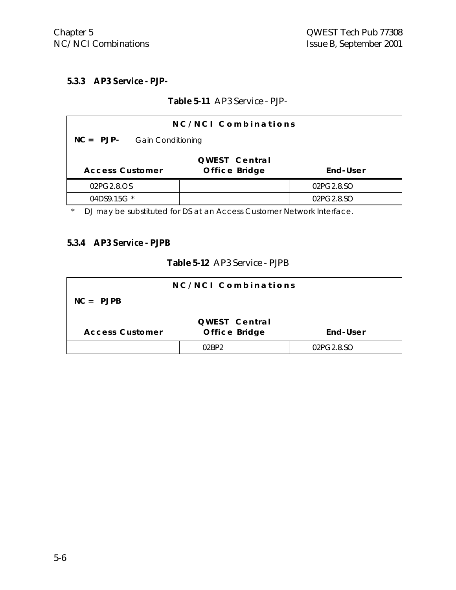#### **5.3.3 AP3 Service - PJP-**

#### **Table 5-11** AP3 Service - PJP-

| NC/NCI Combinations                                                  |  |  |  |  |
|----------------------------------------------------------------------|--|--|--|--|
| $NC = PJP-$<br><b>Gain Conditioning</b>                              |  |  |  |  |
| QWEST Central<br>End-User<br>Office Bridge<br><b>Access Customer</b> |  |  |  |  |
| 02PG2.8.OS<br>02PG2.8.SO                                             |  |  |  |  |
| 04DS9.15G *<br>02PG2.8.SO                                            |  |  |  |  |

\* DJ may be substituted for DS at an Access Customer Network Interface.

#### **5.3.4 AP3 Service - PJPB**

#### **Table 5-12** AP3 Service - PJPB

|                        | NC/NCI Combinations |            |
|------------------------|---------------------|------------|
| $NC = PJPB$            |                     |            |
|                        | QWEST Central       |            |
| <b>Access Customer</b> | Office Bridge       | End-User   |
|                        |                     | 02PG2.8.SO |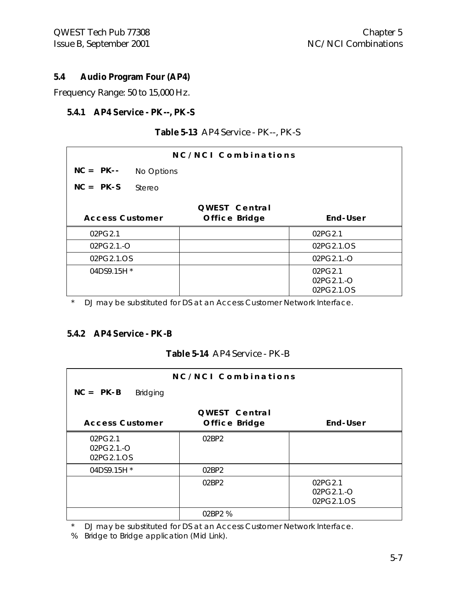#### **5.4 Audio Program Four (AP4)**

Frequency Range: 50 to 15,000 Hz.

#### **5.4.1 AP4 Service - PK--, PK-S**

| NC/NCI Combinations    |            |                      |            |
|------------------------|------------|----------------------|------------|
| $NC = PK--$            | No Options |                      |            |
| $NC = PK-S$            | Stereo     |                      |            |
|                        |            | <b>QWEST Central</b> |            |
| <b>Access Customer</b> |            | Office Bridge        | End-User   |
| 02PG2.1                |            |                      | 02PG2.1    |
| 02PG2.1.-O             |            |                      | 02PG2.1.OS |
| 02PG2.1.OS             |            |                      | 02PG2.1.-O |
| 04DS9.15H *            |            |                      | 02PG2.1    |
|                        |            |                      | 02PG2.1.-O |
|                        |            |                      | 02PG2.1.OS |

#### **Table 5-13** AP4 Service - PK--, PK-S

\* DJ may be substituted for DS at an Access Customer Network Interface.

#### **5.4.2 AP4 Service - PK-B**

#### **Table 5-14** AP4 Service - PK-B

|                                     | NC/NCI Combinations            |                                     |
|-------------------------------------|--------------------------------|-------------------------------------|
| $NC = PK-B$<br><b>Bridging</b>      |                                |                                     |
| <b>Access Customer</b>              | QWEST Central<br>Office Bridge | End-User                            |
| 02PG2.1<br>02PG2.1.-O<br>02PG2.1.OS | 02BP2                          |                                     |
| 04DS9.15H *                         | 02BP2                          |                                     |
|                                     | 02BP2                          | 02PG2.1<br>02PG2.1.-O<br>02PG2.1.OS |
|                                     | 02BP2 %                        |                                     |

\* DJ may be substituted for DS at an Access Customer Network Interface.

% Bridge to Bridge application (Mid Link).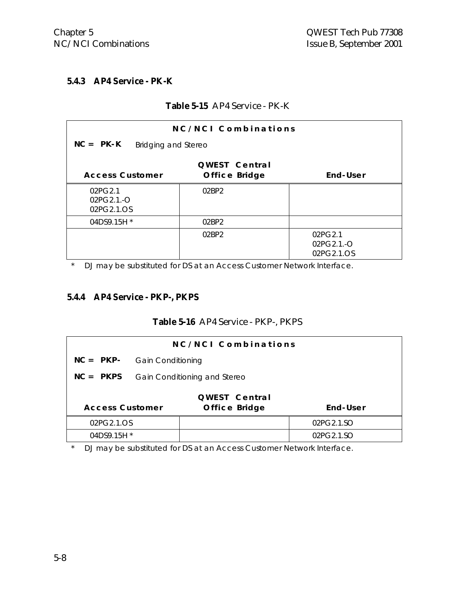#### **5.4.3 AP4 Service - PK-K**

#### **Table 5-15** AP4 Service - PK-K

| NC/NCI Combinations                 |                                |                                     |  |  |
|-------------------------------------|--------------------------------|-------------------------------------|--|--|
| $NC = PK - K$                       | Bridging and Stereo            |                                     |  |  |
| <b>Access Customer</b>              | QWEST Central<br>Office Bridge | End-User                            |  |  |
| 02PG2.1<br>02PG2.1.-O<br>02PG2.1.OS | 02BP2                          |                                     |  |  |
| 04DS9.15H *                         | 02BP2                          |                                     |  |  |
|                                     | 02BP2                          | 02PG2.1<br>02PG2.1.-O<br>02PG2.1.OS |  |  |

\* DJ may be substituted for DS at an Access Customer Network Interface.

#### **5.4.4 AP4 Service - PKP-, PKPS**

#### **Table 5-16** AP4 Service - PKP-, PKPS

| NC/NCI Combinations                                 |                          |                              |            |  |
|-----------------------------------------------------|--------------------------|------------------------------|------------|--|
| $NC = PKP-$                                         | <b>Gain Conditioning</b> |                              |            |  |
| $NC = PKPS$                                         |                          | Gain Conditioning and Stereo |            |  |
| QWEST Central                                       |                          |                              |            |  |
| End-User<br><b>Access Customer</b><br>Office Bridge |                          |                              |            |  |
| 02PG2.1.OS                                          |                          |                              | 02PG2.1.SO |  |
| 04DS9.15H *                                         |                          |                              | 02PG2.1.SO |  |

\* DJ may be substituted for DS at an Access Customer Network Interface.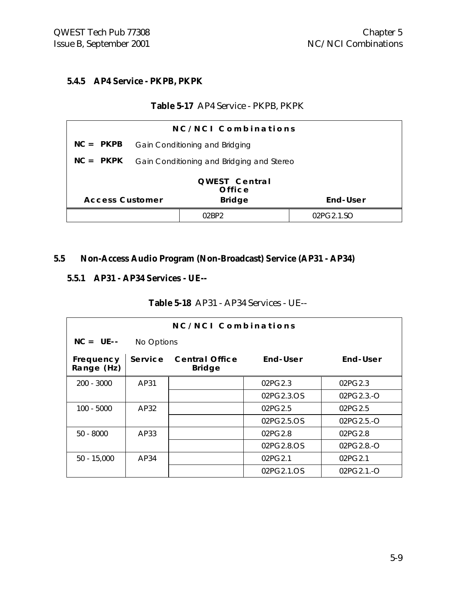#### **5.4.5 AP4 Service - PKPB, PKPK**

#### **Table 5-17** AP4 Service - PKPB, PKPK

| NC/NCI Combinations                                                |                                           |       |            |
|--------------------------------------------------------------------|-------------------------------------------|-------|------------|
| $NC = PKPB$                                                        | Gain Conditioning and Bridging            |       |            |
| $NC = PKPK$                                                        | Gain Conditioning and Bridging and Stereo |       |            |
| QWEST Central<br>Office<br><b>Access Customer</b><br><b>Bridge</b> |                                           |       | End-User   |
|                                                                    |                                           | በንRP2 | 02PG2.1.SO |

#### **5.5 Non-Access Audio Program (Non-Broadcast) Service (AP31 - AP34)**

#### **5.5.1 AP31 - AP34 Services - UE--**

#### **Table 5-18** AP31 - AP34 Services - UE--

| NC/NCI Combinations     |            |                                        |            |              |
|-------------------------|------------|----------------------------------------|------------|--------------|
| $NC = UE--$             | No Options |                                        |            |              |
| Frequency<br>Range (Hz) | Service    | <b>Central Office</b><br><b>Bridge</b> | End-User   | End-User     |
| $200 - 3000$            | AP31       |                                        | 02PG2.3    | 02PG2.3      |
|                         |            |                                        | 02PG2.3.OS | $02PG2.3.-O$ |
| 100 - 5000              | AP32       |                                        | 02PG2.5    | 02PG2.5      |
|                         |            |                                        | 02PG2.5.OS | 02PG2.5.-O   |
| $50 - 8000$             | AP33       |                                        | 02PG2.8    | 02PG2.8      |
|                         |            |                                        | 02PG2.8.OS | 02PG2.8.-O   |
| $50 - 15,000$           | AP34       |                                        | 02PG2.1    | 02PG2.1      |
|                         |            |                                        | 02PG2.1.OS | 02PG2.1.-O   |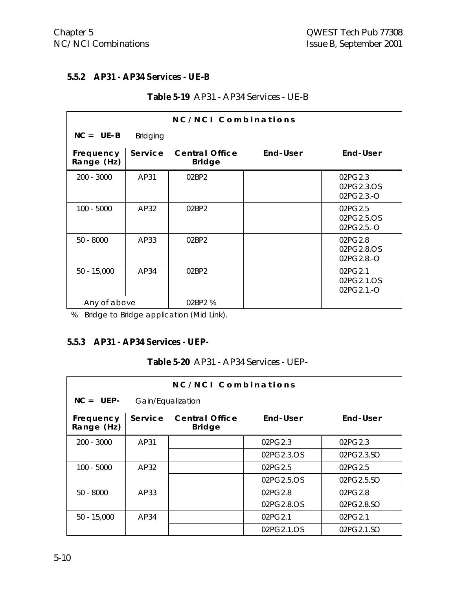#### **5.5.2 AP31 - AP34 Services - UE-B**

| NC/NCI Combinations     |                 |                                        |          |                                     |
|-------------------------|-----------------|----------------------------------------|----------|-------------------------------------|
| $NC = UE - B$           | <b>Bridging</b> |                                        |          |                                     |
| Frequency<br>Range (Hz) | Service         | <b>Central Office</b><br><b>Bridge</b> | End-User | End-User                            |
| 200 - 3000              | AP31            | 02BP2                                  |          | 02PG2.3<br>02PG2.3.OS<br>02PG2.3.-O |
| $100 - 5000$            | AP32            | 02BP2                                  |          | 02PG2.5<br>02PG2.5.OS<br>02PG2.5.-O |
| $50 - 8000$             | AP33            | 02BP2                                  |          | 02PG2.8<br>02PG2.8.OS<br>02PG2.8.-O |
| $50 - 15,000$           | AP34            | 02BP2                                  |          | 02PG2.1<br>02PG2.1.OS<br>02PG2.1.-O |
| Any of above            |                 | 02BP2 %                                |          |                                     |

#### **Table 5-19** AP31 - AP34 Services - UE-B

% Bridge to Bridge application (Mid Link).

#### **5.5.3 AP31 - AP34 Services - UEP-**

|  |  |  | Table 5-20 AP31 - AP34 Services - UEP- |  |
|--|--|--|----------------------------------------|--|
|--|--|--|----------------------------------------|--|

| NC/NCI Combinations     |                   |                                        |            |            |
|-------------------------|-------------------|----------------------------------------|------------|------------|
| $NC = UEP-$             | Gain/Equalization |                                        |            |            |
| Frequency<br>Range (Hz) | Service           | <b>Central Office</b><br><b>Bridge</b> | End-User   | End-User   |
| $200 - 3000$            | AP31              |                                        | 02PG2.3    | 02PG2.3    |
|                         |                   |                                        | 02PG2.3.OS | 02PG2.3.SO |
| $100 - 5000$            | AP32              |                                        | 02PG2.5    | 02PG2.5    |
|                         |                   |                                        | 02PG2.5.OS | 02PG2.5.SO |
| $50 - 8000$             | AP33              |                                        | 02PG2.8    | 02PG2.8    |
|                         |                   |                                        | 02PG2.8.OS | 02PG2.8.SO |
| $50 - 15,000$           | AP34              |                                        | 02PG2.1    | 02PG2.1    |
|                         |                   |                                        | 02PG2.1.OS | 02PG2.1.SO |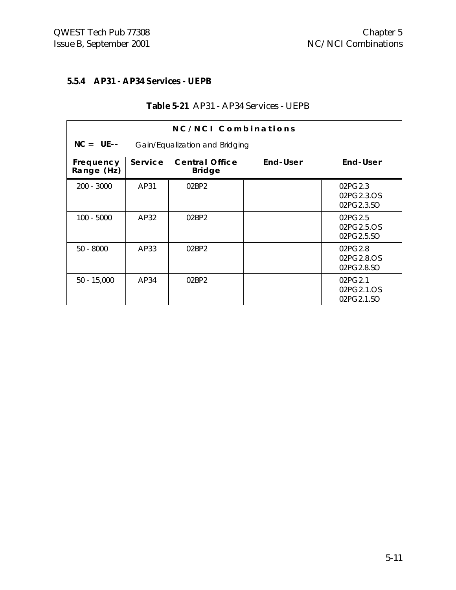#### **5.5.4 AP31 - AP34 Services - UEPB**

|  |  | <b>Table 5-21</b> AP31 - AP34 Services - UEPB |  |
|--|--|-----------------------------------------------|--|
|--|--|-----------------------------------------------|--|

|                         |                                | NC/NCI Combinations                    |          |                                     |
|-------------------------|--------------------------------|----------------------------------------|----------|-------------------------------------|
| $NC = UE--$             | Gain/Equalization and Bridging |                                        |          |                                     |
| Frequency<br>Range (Hz) | Service                        | <b>Central Office</b><br><b>Bridge</b> | End-User | End-User                            |
| $200 - 3000$            | AP31                           | 02BP2                                  |          | 02PG2.3<br>02PG2.3.OS<br>02PG2.3.SO |
| 100 - 5000              | AP32                           | 02BP2                                  |          | 02PG2.5<br>02PG2.5.OS<br>02PG2.5.SO |
| $50 - 8000$             | AP33                           | 02BP2                                  |          | 02PG2.8<br>02PG2.8.OS<br>02PG2.8.SO |
| $50 - 15,000$           | AP34                           | 02BP2                                  |          | 02PG2.1<br>02PG2.1.OS<br>02PG2.1.SO |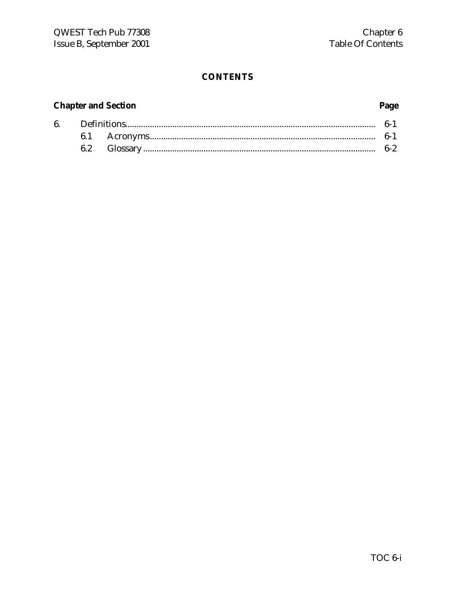#### **CONTENTS**

#### **Chapter and Section**

#### 6.  $\label{eq:3} \textbf{Definitions} \textbf{.} \textbf{...} \textbf{.} \textbf{...} \textbf{.} \textbf{...} \textbf{.} \textbf{...} \textbf{.} \textbf{...} \textbf{.} \textbf{...} \textbf{.} \textbf{...} \textbf{.} \textbf{...} \textbf{.} \textbf{...} \textbf{.} \textbf{...} \textbf{.} \textbf{...} \textbf{.} \textbf{...} \textbf{.} \textbf{...} \textbf{.} \textbf{...} \textbf{.} \textbf{...} \textbf{.} \textbf{...} \textbf{.} \textbf{...} \textbf$  $6-1$ 6.1  $6-1$  $6.2$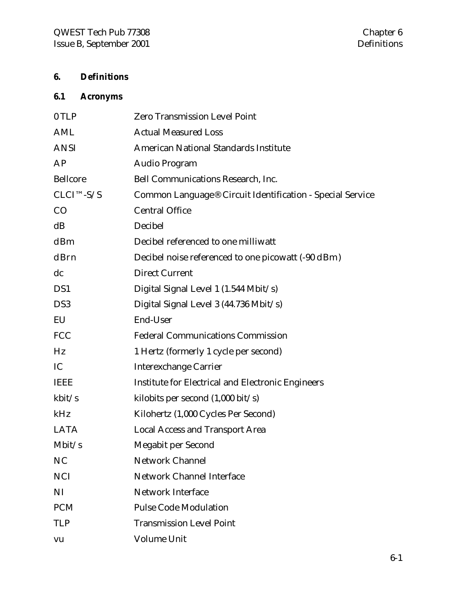# **6. Definitions**

# **6.1 Acronyms**

| 0 TLP           | <b>Zero Transmission Level Point</b>                      |
|-----------------|-----------------------------------------------------------|
| AML             | <b>Actual Measured Loss</b>                               |
| <b>ANSI</b>     | <b>American National Standards Institute</b>              |
| AP              | Audio Program                                             |
| <b>Bellcore</b> | <b>Bell Communications Research, Inc.</b>                 |
| $CLCI^{TM-S/S}$ | Common Language® Circuit Identification - Special Service |
| CO              | <b>Central Office</b>                                     |
| dB              | Decibel                                                   |
| dBm             | Decibel referenced to one milliwatt                       |
| dBrn            | Decibel noise referenced to one picowatt (-90 dBm)        |
| dc              | <b>Direct Current</b>                                     |
| DS1             | Digital Signal Level 1 (1.544 Mbit/s)                     |
| DS <sub>3</sub> | Digital Signal Level 3 (44.736 Mbit/s)                    |
| EU              | End-User                                                  |
| <b>FCC</b>      | <b>Federal Communications Commission</b>                  |
| Hz              | 1 Hertz (formerly 1 cycle per second)                     |
| IC              | <b>Interexchange Carrier</b>                              |
| <b>IEEE</b>     | <b>Institute for Electrical and Electronic Engineers</b>  |
| kbit/s          | kilobits per second $(1,000 \text{ bit/s})$               |
| kHz             | Kilohertz (1,000 Cycles Per Second)                       |
| <b>LATA</b>     | <b>Local Access and Transport Area</b>                    |
| Mbit/s          | Megabit per Second                                        |
| <b>NC</b>       | <b>Network Channel</b>                                    |
| <b>NCI</b>      | <b>Network Channel Interface</b>                          |
| NI              | <b>Network Interface</b>                                  |
| <b>PCM</b>      | <b>Pulse Code Modulation</b>                              |
| <b>TLP</b>      | <b>Transmission Level Point</b>                           |
| vu              | <b>Volume Unit</b>                                        |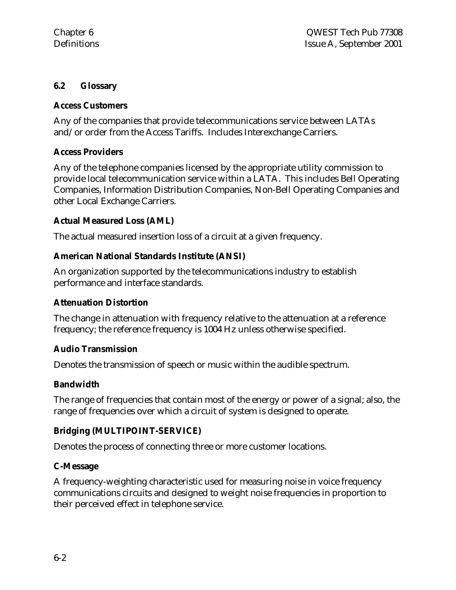#### **6.2 Glossary**

#### **Access Customers**

Any of the companies that provide telecommunications service between LATAs and/or order from the Access Tariffs. Includes Interexchange Carriers.

#### **Access Providers**

Any of the telephone companies licensed by the appropriate utility commission to provide local telecommunication service within a LATA. This includes Bell Operating Companies, Information Distribution Companies, Non-Bell Operating Companies and other Local Exchange Carriers.

#### **Actual Measured Loss (AML)**

The actual measured insertion loss of a circuit at a given frequency.

#### **American National Standards Institute (ANSI)**

An organization supported by the telecommunications industry to establish performance and interface standards.

#### **Attenuation Distortion**

The change in attenuation with frequency relative to the attenuation at a reference frequency; the reference frequency is 1004 Hz unless otherwise specified.

#### **Audio Transmission**

Denotes the transmission of speech or music within the audible spectrum.

#### **Bandwidth**

The range of frequencies that contain most of the energy or power of a signal; also, the range of frequencies over which a circuit of system is designed to operate.

#### **Bridging (MULTIPOINT-SERVICE)**

Denotes the process of connecting three or more customer locations.

#### **C-Message**

A frequency-weighting characteristic used for measuring noise in voice frequency communications circuits and designed to weight noise frequencies in proportion to their perceived effect in telephone service.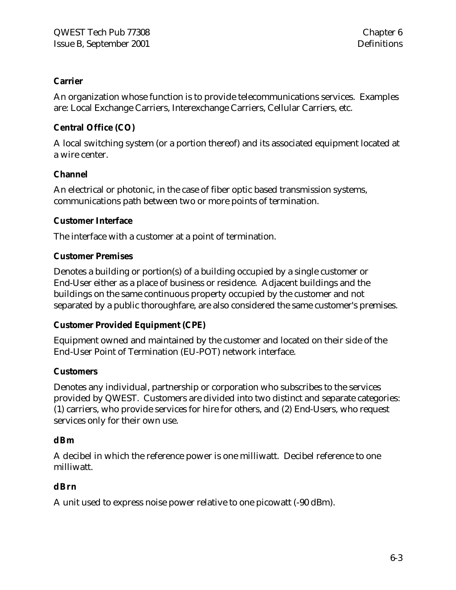#### **Carrier**

An organization whose function is to provide telecommunications services. Examples are: Local Exchange Carriers, Interexchange Carriers, Cellular Carriers, etc.

#### **Central Office (CO)**

A local switching system (or a portion thereof) and its associated equipment located at a wire center.

#### **Channel**

An electrical or photonic, in the case of fiber optic based transmission systems, communications path between two or more points of termination.

#### **Customer Interface**

The interface with a customer at a point of termination.

#### **Customer Premises**

Denotes a building or portion(s) of a building occupied by a single customer or End-User either as a place of business or residence. Adjacent buildings and the buildings on the same continuous property occupied by the customer and not separated by a public thoroughfare, are also considered the same customer's premises.

#### **Customer Provided Equipment (CPE)**

Equipment owned and maintained by the customer and located on their side of the End-User Point of Termination (EU-POT) network interface.

#### **Customers**

Denotes any individual, partnership or corporation who subscribes to the services provided by QWEST. Customers are divided into two distinct and separate categories: (1) carriers, who provide services for hire for others, and (2) End-Users, who request services only for their own use.

#### **dBm**

A decibel in which the reference power is one milliwatt. Decibel reference to one milliwatt.

#### **dBrn**

A unit used to express noise power relative to one picowatt (-90 dBm).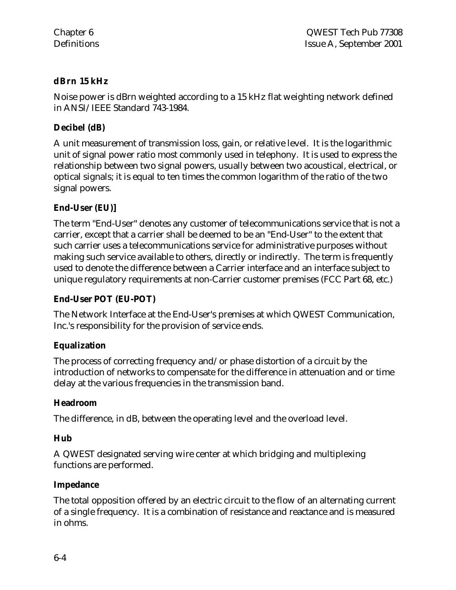### **dBrn 15 kHz**

Noise power is dBrn weighted according to a 15 kHz flat weighting network defined in ANSI/IEEE Standard 743-1984.

#### **Decibel (dB)**

A unit measurement of transmission loss, gain, or relative level. It is the logarithmic unit of signal power ratio most commonly used in telephony. It is used to express the relationship between two signal powers, usually between two acoustical, electrical, or optical signals; it is equal to ten times the common logarithm of the ratio of the two signal powers.

# **End-User (EU)]**

The term "End-User" denotes any customer of telecommunications service that is not a carrier, except that a carrier shall be deemed to be an "End-User" to the extent that such carrier uses a telecommunications service for administrative purposes without making such service available to others, directly or indirectly. The term is frequently used to denote the difference between a Carrier interface and an interface subject to unique regulatory requirements at non-Carrier customer premises (FCC Part 68, etc.)

#### **End-User POT (EU-POT)**

The Network Interface at the End-User's premises at which QWEST Communication, Inc.'s responsibility for the provision of service ends.

#### **Equalization**

The process of correcting frequency and/or phase distortion of a circuit by the introduction of networks to compensate for the difference in attenuation and or time delay at the various frequencies in the transmission band.

#### **Headroom**

The difference, in dB, between the operating level and the overload level.

#### **Hub**

A QWEST designated serving wire center at which bridging and multiplexing functions are performed.

#### **Impedance**

The total opposition offered by an electric circuit to the flow of an alternating current of a single frequency. It is a combination of resistance and reactance and is measured in ohms.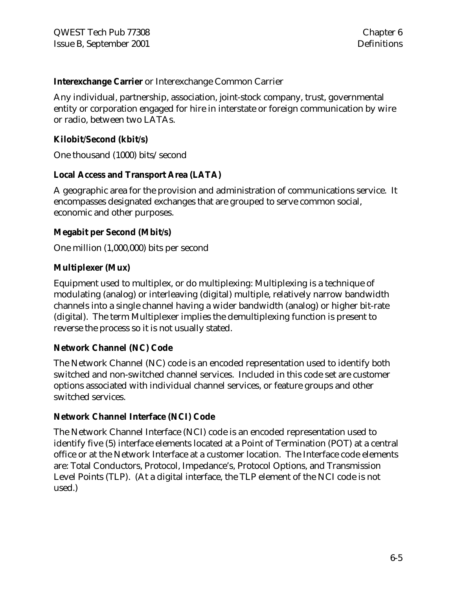#### **Interexchange Carrier** or Interexchange Common Carrier

Any individual, partnership, association, joint-stock company, trust, governmental entity or corporation engaged for hire in interstate or foreign communication by wire or radio, between two LATAs.

#### **Kilobit/Second (kbit/s)**

One thousand (1000) bits/second

#### **Local Access and Transport Area (LATA)**

A geographic area for the provision and administration of communications service. It encompasses designated exchanges that are grouped to serve common social, economic and other purposes.

#### **Megabit per Second (Mbit/s)**

One million (1,000,000) bits per second

#### **Multiplexer (Mux)**

Equipment used to multiplex, or do multiplexing: Multiplexing is a technique of modulating (analog) or interleaving (digital) multiple, relatively narrow bandwidth channels into a single channel having a wider bandwidth (analog) or higher bit-rate (digital). The term Multiplexer implies the demultiplexing function is present to reverse the process so it is not usually stated.

#### **Network Channel (NC) Code**

The Network Channel (NC) code is an encoded representation used to identify both switched and non-switched channel services. Included in this code set are customer options associated with individual channel services, or feature groups and other switched services.

#### **Network Channel Interface (NCI) Code**

The Network Channel Interface (NCI) code is an encoded representation used to identify five (5) interface elements located at a Point of Termination (POT) at a central office or at the Network Interface at a customer location. The Interface code elements are: Total Conductors, Protocol, Impedance's, Protocol Options, and Transmission Level Points (TLP). (At a digital interface, the TLP element of the NCI code is not used.)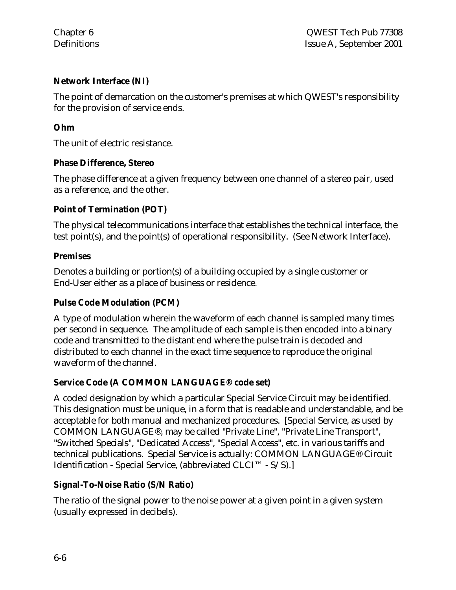#### **Network Interface (NI)**

The point of demarcation on the customer's premises at which QWEST's responsibility for the provision of service ends.

#### **Ohm**

The unit of electric resistance.

#### **Phase Difference, Stereo**

The phase difference at a given frequency between one channel of a stereo pair, used as a reference, and the other.

#### **Point of Termination (POT)**

The physical telecommunications interface that establishes the technical interface, the test point(s), and the point(s) of operational responsibility. (See Network Interface).

#### **Premises**

Denotes a building or portion(s) of a building occupied by a single customer or End-User either as a place of business or residence.

#### **Pulse Code Modulation (PCM)**

A type of modulation wherein the waveform of each channel is sampled many times per second in sequence. The amplitude of each sample is then encoded into a binary code and transmitted to the distant end where the pulse train is decoded and distributed to each channel in the exact time sequence to reproduce the original waveform of the channel.

#### **Service Code (A COMMON LANGUAGE® code set)**

A coded designation by which a particular Special Service Circuit may be identified. This designation must be unique, in a form that is readable and understandable, and be acceptable for both manual and mechanized procedures. [Special Service, as used by COMMON LANGUAGE®, may be called "Private Line", "Private Line Transport", "Switched Specials", "Dedicated Access", "Special Access", etc. in various tariffs and technical publications. Special Service is actually: COMMON LANGUAGE® Circuit Identification - Special Service, (abbreviated CLCI™ - S/S).]

#### **Signal-To-Noise Ratio (S/N Ratio)**

The ratio of the signal power to the noise power at a given point in a given system (usually expressed in decibels).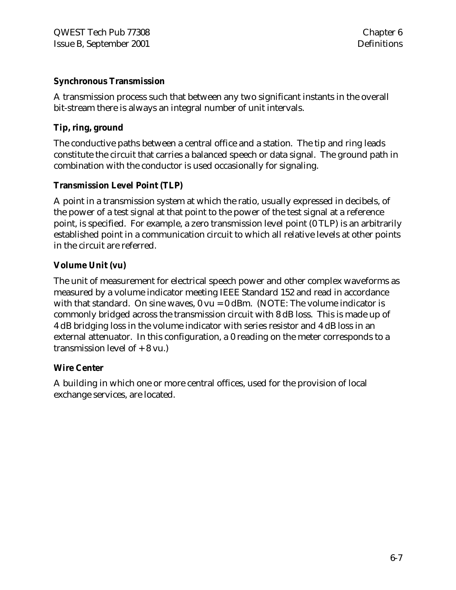#### **Synchronous Transmission**

A transmission process such that between any two significant instants in the overall bit-stream there is always an integral number of unit intervals.

#### **Tip, ring, ground**

The conductive paths between a central office and a station. The tip and ring leads constitute the circuit that carries a balanced speech or data signal. The ground path in combination with the conductor is used occasionally for signaling.

#### **Transmission Level Point (TLP)**

A point in a transmission system at which the ratio, usually expressed in decibels, of the power of a test signal at that point to the power of the test signal at a reference point, is specified. For example, a zero transmission level point (0 TLP) is an arbitrarily established point in a communication circuit to which all relative levels at other points in the circuit are referred.

#### **Volume Unit (vu)**

The unit of measurement for electrical speech power and other complex waveforms as measured by a volume indicator meeting IEEE Standard 152 and read in accordance with that standard. On sine waves,  $0 \text{ vu} = 0$  dBm. (NOTE: The volume indicator is commonly bridged across the transmission circuit with 8 dB loss. This is made up of 4 dB bridging loss in the volume indicator with series resistor and 4 dB loss in an external attenuator. In this configuration, a 0 reading on the meter corresponds to a transmission level of + 8 vu.)

#### **Wire Center**

A building in which one or more central offices, used for the provision of local exchange services, are located.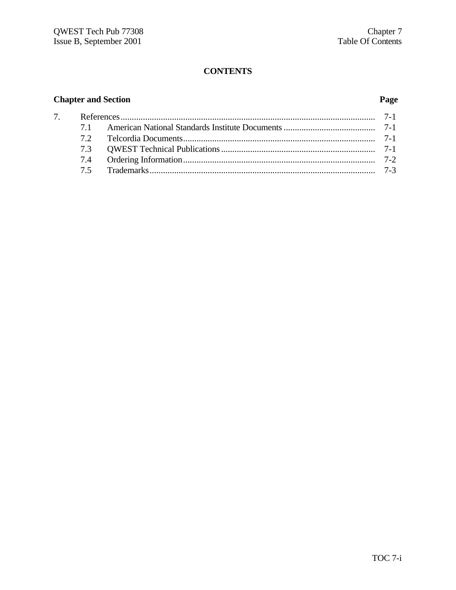#### **CONTENTS**

#### **Chapter and Section Page**

| 7 <sup>1</sup> |  |  |
|----------------|--|--|
|                |  |  |
|                |  |  |
|                |  |  |
|                |  |  |
|                |  |  |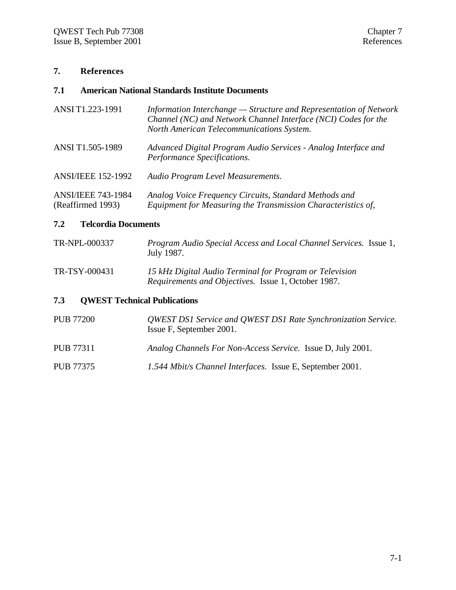#### **7. References**

#### **7.1 American National Standards Institute Documents**

| ANSI T1.223-1991                               | Information Interchange — Structure and Representation of Network<br>Channel (NC) and Network Channel Interface (NCI) Codes for the<br>North American Telecommunications System. |
|------------------------------------------------|----------------------------------------------------------------------------------------------------------------------------------------------------------------------------------|
| ANSI T1.505-1989                               | Advanced Digital Program Audio Services - Analog Interface and<br>Performance Specifications.                                                                                    |
| <b>ANSI/IEEE 152-1992</b>                      | Audio Program Level Measurements.                                                                                                                                                |
| <b>ANSI/IEEE 743-1984</b><br>(Reaffirmed 1993) | Analog Voice Frequency Circuits, Standard Methods and<br>Equipment for Measuring the Transmission Characteristics of,                                                            |

#### **7.2 Telcordia Documents**

| TR-NPL-000337 | Program Audio Special Access and Local Channel Services. Issue 1, |
|---------------|-------------------------------------------------------------------|
|               | July 1987.                                                        |

| TR-TSY-000431 | 15 kHz Digital Audio Terminal for Program or Television    |  |
|---------------|------------------------------------------------------------|--|
|               | <i>Requirements and Objectives.</i> Issue 1, October 1987. |  |

#### **7.3 QWEST Technical Publications**

| <b>PUB 77200</b> | <b>OWEST DS1 Service and OWEST DS1 Rate Synchronization Service.</b><br>Issue F, September 2001. |
|------------------|--------------------------------------------------------------------------------------------------|
| <b>PUB 77311</b> | Analog Channels For Non-Access Service. Issue D, July 2001.                                      |
| <b>PUB 77375</b> | 1.544 Mbit/s Channel Interfaces. Issue E, September 2001.                                        |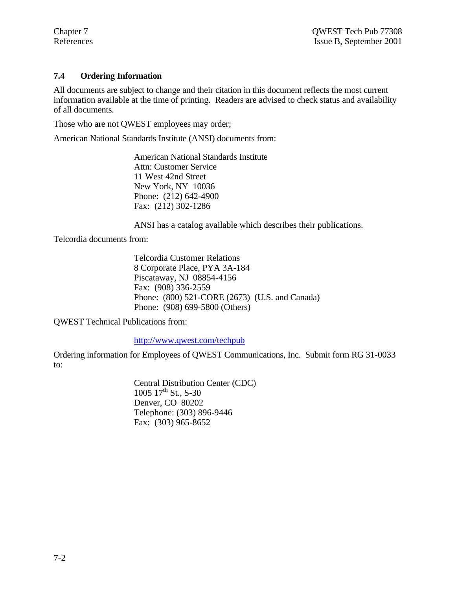#### **7.4 Ordering Information**

All documents are subject to change and their citation in this document reflects the most current information available at the time of printing. Readers are advised to check status and availability of all documents.

Those who are not QWEST employees may order;

American National Standards Institute (ANSI) documents from:

American National Standards Institute Attn: Customer Service 11 West 42nd Street New York, NY 10036 Phone: (212) 642-4900 Fax: (212) 302-1286

ANSI has a catalog available which describes their publications.

Telcordia documents from:

Telcordia Customer Relations 8 Corporate Place, PYA 3A-184 Piscataway, NJ 08854-4156 Fax: (908) 336-2559 Phone: (800) 521-CORE (2673) (U.S. and Canada) Phone: (908) 699-5800 (Others)

QWEST Technical Publications from:

http://www.qwest.com/techpub

Ordering information for Employees of QWEST Communications, Inc. Submit form RG 31-0033 to:

> Central Distribution Center (CDC) 1005  $17^{th}$  St., S-30 Denver, CO 80202 Telephone: (303) 896-9446 Fax: (303) 965-8652